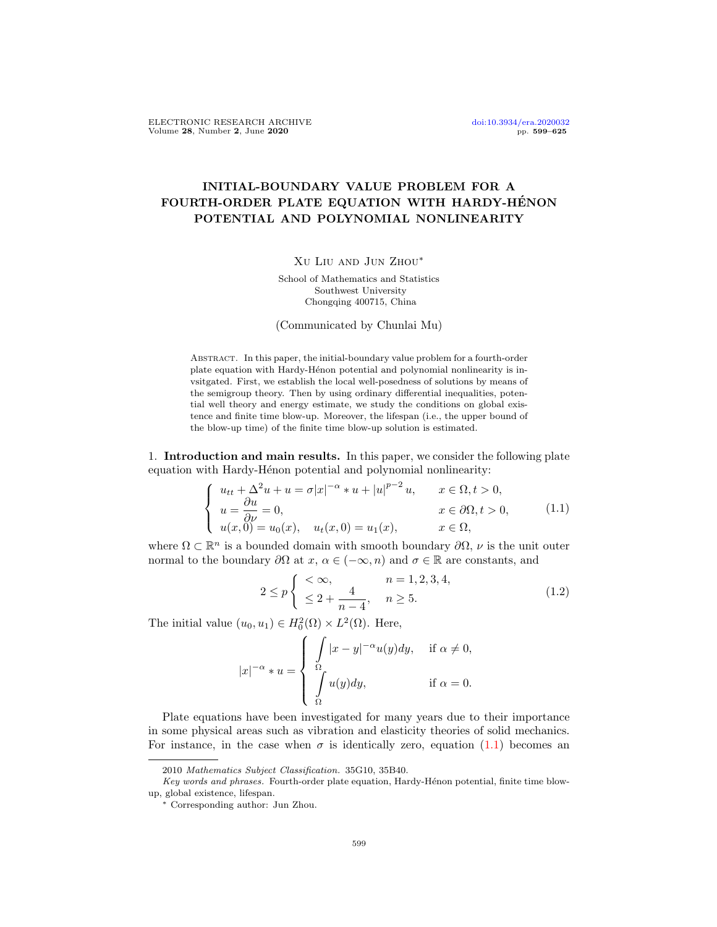## INITIAL-BOUNDARY VALUE PROBLEM FOR A FOURTH-ORDER PLATE EQUATION WITH HARDY-HÉNON POTENTIAL AND POLYNOMIAL NONLINEARITY

## Xu Liu and Jun Zhou∗

School of Mathematics and Statistics Southwest University Chongqing 400715, China

(Communicated by Chunlai Mu)

Abstract. In this paper, the initial-boundary value problem for a fourth-order plate equation with Hardy-Hénon potential and polynomial nonlinearity is invsitgated. First, we establish the local well-posedness of solutions by means of the semigroup theory. Then by using ordinary differential inequalities, potential well theory and energy estimate, we study the conditions on global existence and finite time blow-up. Moreover, the lifespan (i.e., the upper bound of the blow-up time) of the finite time blow-up solution is estimated.

1. Introduction and main results. In this paper, we consider the following plate equation with Hardy-Hénon potential and polynomial nonlinearity:

<span id="page-0-0"></span>
$$
\begin{cases}\nu_{tt} + \Delta^2 u + u = \sigma |x|^{-\alpha} * u + |u|^{p-2} u, & x \in \Omega, t > 0, \\
u = \frac{\partial u}{\partial \nu} = 0, & x \in \partial\Omega, t > 0, \\
u(x, 0) = u_0(x), & u_t(x, 0) = u_1(x), & x \in \Omega,\n\end{cases}
$$
\n(1.1)

where  $\Omega \subset \mathbb{R}^n$  is a bounded domain with smooth boundary  $\partial \Omega$ ,  $\nu$  is the unit outer normal to the boundary  $\partial\Omega$  at  $x, \alpha \in (-\infty, n)$  and  $\sigma \in \mathbb{R}$  are constants, and

<span id="page-0-1"></span>
$$
2 \le p \begin{cases} < \infty, \\ < 2 + \frac{4}{n - 4}, \\ & n \ge 5. \end{cases} \tag{1.2}
$$

The initial value  $(u_0, u_1) \in H_0^2(\Omega) \times L^2(\Omega)$ . Here,

$$
|x|^{-\alpha} * u = \begin{cases} \int_{\Omega} |x - y|^{-\alpha} u(y) dy, & \text{if } \alpha \neq 0, \\ \int_{\Omega} u(y) dy, & \text{if } \alpha = 0. \end{cases}
$$

Plate equations have been investigated for many years due to their importance in some physical areas such as vibration and elasticity theories of solid mechanics. For instance, in the case when  $\sigma$  is identically zero, equation [\(1.1\)](#page-0-0) becomes an

<sup>2010</sup> Mathematics Subject Classification. 35G10, 35B40.

Key words and phrases. Fourth-order plate equation, Hardy-Hénon potential, finite time blowup, global existence, lifespan.

<sup>∗</sup> Corresponding author: Jun Zhou.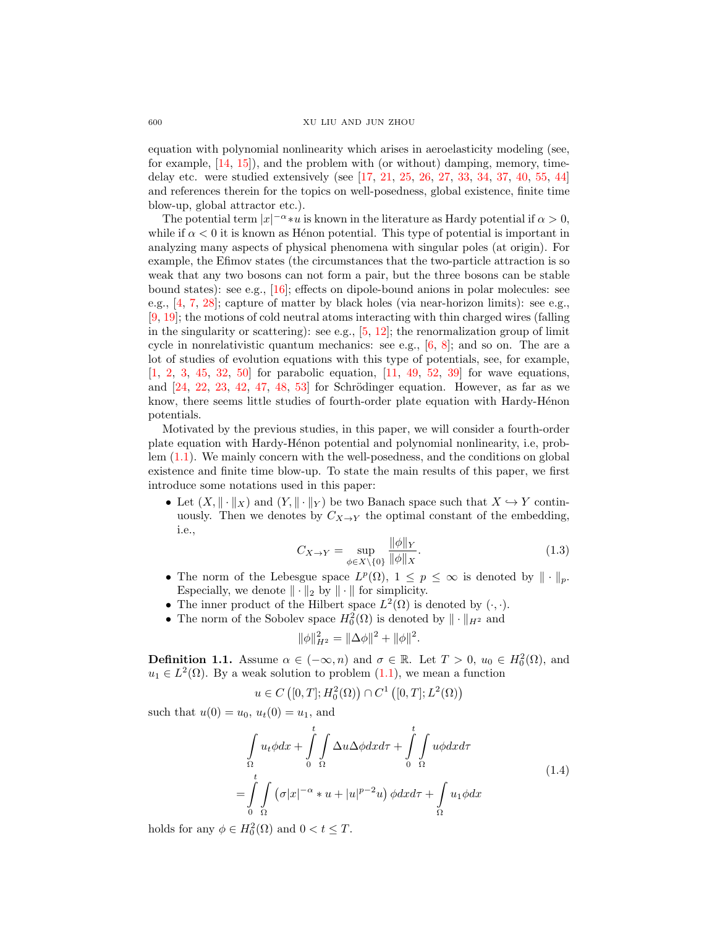equation with polynomial nonlinearity which arises in aeroelasticity modeling (see, for example,  $[14, 15]$  $[14, 15]$ , and the problem with (or without) damping, memory, timedelay etc. were studied extensively (see [\[17,](#page-24-2) [21,](#page-24-3) [25,](#page-25-0) [26,](#page-25-1) [27,](#page-25-2) [33,](#page-25-3) [34,](#page-25-4) [37,](#page-25-5) [40,](#page-25-6) [55,](#page-26-0) [44\]](#page-25-7) and references therein for the topics on well-posedness, global existence, finite time blow-up, global attractor etc.).

The potential term  $|x|^{-\alpha} * u$  is known in the literature as Hardy potential if  $\alpha > 0$ , while if  $\alpha < 0$  it is known as Henon potential. This type of potential is important in analyzing many aspects of physical phenomena with singular poles (at origin). For example, the Efimov states (the circumstances that the two-particle attraction is so weak that any two bosons can not form a pair, but the three bosons can be stable bound states): see e.g., [\[16\]](#page-24-4); effects on dipole-bound anions in polar molecules: see e.g.,  $[4, 7, 28]$  $[4, 7, 28]$  $[4, 7, 28]$  $[4, 7, 28]$ ; capture of matter by black holes (via near-horizon limits): see e.g., [\[9,](#page-24-7) [19\]](#page-24-8); the motions of cold neutral atoms interacting with thin charged wires (falling in the singularity or scattering): see e.g.,  $[5, 12]$  $[5, 12]$ ; the renormalization group of limit cycle in nonrelativistic quantum mechanics: see e.g.,  $[6, 8]$  $[6, 8]$ ; and so on. The are a lot of studies of evolution equations with this type of potentials, see, for example, [\[1,](#page-24-13) [2,](#page-24-14) [3,](#page-24-15) [45,](#page-25-9) [32,](#page-25-10) [50\]](#page-25-11) for parabolic equation, [\[11,](#page-24-16) [49,](#page-25-12) [52,](#page-25-13) [39\]](#page-25-14) for wave equations, and  $[24, 22, 23, 42, 47, 48, 53]$  $[24, 22, 23, 42, 47, 48, 53]$  $[24, 22, 23, 42, 47, 48, 53]$  $[24, 22, 23, 42, 47, 48, 53]$  $[24, 22, 23, 42, 47, 48, 53]$  $[24, 22, 23, 42, 47, 48, 53]$  $[24, 22, 23, 42, 47, 48, 53]$  $[24, 22, 23, 42, 47, 48, 53]$  $[24, 22, 23, 42, 47, 48, 53]$  $[24, 22, 23, 42, 47, 48, 53]$  $[24, 22, 23, 42, 47, 48, 53]$  $[24, 22, 23, 42, 47, 48, 53]$  for Schrödinger equation. However, as far as we know, there seems little studies of fourth-order plate equation with Hardy-Hénon potentials.

Motivated by the previous studies, in this paper, we will consider a fourth-order plate equation with Hardy-Hénon potential and polynomial nonlinearity, i.e, problem [\(1.1\)](#page-0-0). We mainly concern with the well-posedness, and the conditions on global existence and finite time blow-up. To state the main results of this paper, we first introduce some notations used in this paper:

• Let  $(X, \|\cdot\|_X)$  and  $(Y, \|\cdot\|_Y)$  be two Banach space such that  $X \hookrightarrow Y$  continuously. Then we denotes by  $C_{X\to Y}$  the optimal constant of the embedding, i.e.,

$$
C_{X \to Y} = \sup_{\phi \in X \setminus \{0\}} \frac{\|\phi\|_Y}{\|\phi\|_X}.
$$
 (1.3)

- The norm of the Lebesgue space  $L^p(\Omega)$ ,  $1 \leq p \leq \infty$  is denoted by  $\|\cdot\|_p$ . Especially, we denote  $\|\cdot\|_2$  by  $\|\cdot\|$  for simplicity.
- The inner product of the Hilbert space  $L^2(\Omega)$  is denoted by  $(\cdot, \cdot)$ .
- The norm of the Sobolev space  $H_0^2(\Omega)$  is denoted by  $\|\cdot\|_{H^2}$  and

$$
\|\phi\|_{H^2}^2 = \|\Delta\phi\|^2 + \|\phi\|^2.
$$

<span id="page-1-0"></span>**Definition 1.1.** Assume  $\alpha \in (-\infty, n)$  and  $\sigma \in \mathbb{R}$ . Let  $T > 0$ ,  $u_0 \in H_0^2(\Omega)$ , and  $u_1 \in L^2(\Omega)$ . By a weak solution to problem  $(1.1)$ , we mean a function

$$
u \in C([0,T];H_0^2(\Omega)) \cap C^1([0,T];L^2(\Omega))
$$

<span id="page-1-1"></span>such that  $u(0) = u_0, u_t(0) = u_1$ , and

$$
\int_{\Omega} u_t \phi dx + \int_{0}^{t} \int_{\Omega} \Delta u \Delta \phi dx d\tau + \int_{0}^{t} \int_{\Omega} u \phi dx d\tau
$$
\n
$$
= \int_{0}^{t} \int_{\Omega} (\sigma |x|^{-\alpha} * u + |u|^{p-2} u) \phi dx d\tau + \int_{\Omega} u_1 \phi dx \tag{1.4}
$$

holds for any  $\phi \in H_0^2(\Omega)$  and  $0 < t \leq T$ .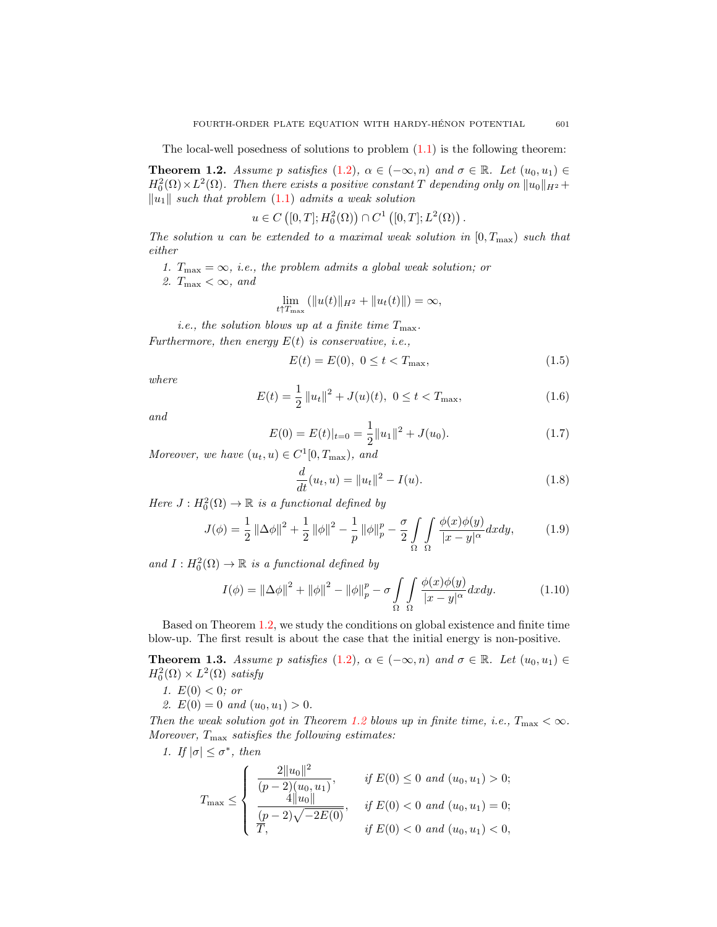The local-well posedness of solutions to problem  $(1.1)$  is the following theorem:

<span id="page-2-0"></span>**Theorem 1.2.** Assume p satisfies [\(1.2\)](#page-0-1),  $\alpha \in (-\infty, n)$  and  $\sigma \in \mathbb{R}$ . Let  $(u_0, u_1) \in$  $H_0^2(\Omega) \times L^2(\Omega)$ . Then there exists a positive constant T depending only on  $||u_0||_{H^2} +$  $\|u_1\|$  such that problem [\(1.1\)](#page-0-0) admits a weak solution

$$
u \in C([0,T];H_0^2(\Omega)) \cap C^1([0,T];L^2(\Omega)).
$$

The solution u can be extended to a maximal weak solution in  $[0, T_{\text{max}})$  such that either

- 1.  $T_{\text{max}} = \infty$ , *i.e.*, the problem admits a global weak solution; or
- 2.  $T_{\text{max}} < \infty$ , and

$$
\lim_{t \uparrow T_{\max}} (\|u(t)\|_{H^2} + \|u_t(t)\|) = \infty,
$$

*i.e.*, the solution blows up at a finite time  $T_{\text{max}}$ .

Furthermore, then energy  $E(t)$  is conservative, i.e.,

<span id="page-2-6"></span>
$$
E(t) = E(0), \ 0 \le t < T_{\text{max}},\tag{1.5}
$$

where

<span id="page-2-5"></span>
$$
E(t) = \frac{1}{2} ||u_t||^2 + J(u)(t), \ 0 \le t < T_{\text{max}}, \tag{1.6}
$$

and

<span id="page-2-4"></span>
$$
E(0) = E(t)|_{t=0} = \frac{1}{2} ||u_1||^2 + J(u_0).
$$
\n(1.7)

Moreover, we have  $(u_t, u) \in C^1[0, T_{\text{max}})$ , and

<span id="page-2-7"></span>
$$
\frac{d}{dt}(u_t, u) = ||u_t||^2 - I(u).
$$
\n(1.8)

Here  $J: H_0^2(\Omega) \to \mathbb{R}$  is a functional defined by

<span id="page-2-2"></span>
$$
J(\phi) = \frac{1}{2} ||\Delta \phi||^2 + \frac{1}{2} ||\phi||^2 - \frac{1}{p} ||\phi||_p^p - \frac{\sigma}{2} \int_{\Omega} \int_{\Omega} \frac{\phi(x)\phi(y)}{|x - y|^{\alpha}} dx dy, \tag{1.9}
$$

and  $I: H_0^2(\Omega) \to \mathbb{R}$  is a functional defined by

<span id="page-2-3"></span>
$$
I(\phi) = \|\Delta \phi\|^2 + \|\phi\|^2 - \|\phi\|_p^p - \sigma \int_{\Omega} \int_{\Omega} \frac{\phi(x)\phi(y)}{|x - y|^{\alpha}} dx dy.
$$
 (1.10)

Based on Theorem [1.2,](#page-2-0) we study the conditions on global existence and finite time blow-up. The first result is about the case that the initial energy is non-positive.

<span id="page-2-1"></span>**Theorem 1.3.** Assume p satisfies [\(1.2\)](#page-0-1),  $\alpha \in (-\infty, n)$  and  $\sigma \in \mathbb{R}$ . Let  $(u_0, u_1) \in$  $H_0^2(\Omega) \times L^2(\Omega)$  satisfy

1.  $E(0) < 0$ ; or

2. 
$$
E(0) = 0
$$
 and  $(u_0, u_1) > 0$ .

Then the weak solution got in Theorem [1.2](#page-2-0) blows up in finite time, i.e.,  $T_{\text{max}} < \infty$ . Moreover,  $T_{\text{max}}$  satisfies the following estimates:

1. If  $|\sigma| \leq \sigma^*$ , then

$$
T_{\max} \leq \begin{cases} \frac{2||u_0||^2}{(p-2)(u_0, u_1)}, & \text{if } E(0) \leq 0 \text{ and } (u_0, u_1) > 0; \\ \frac{4||u_0||}{(p-2)\sqrt{-2E(0)}}, & \text{if } E(0) < 0 \text{ and } (u_0, u_1) = 0; \\ \frac{p}{T}, & \text{if } E(0) < 0 \text{ and } (u_0, u_1) < 0, \end{cases}
$$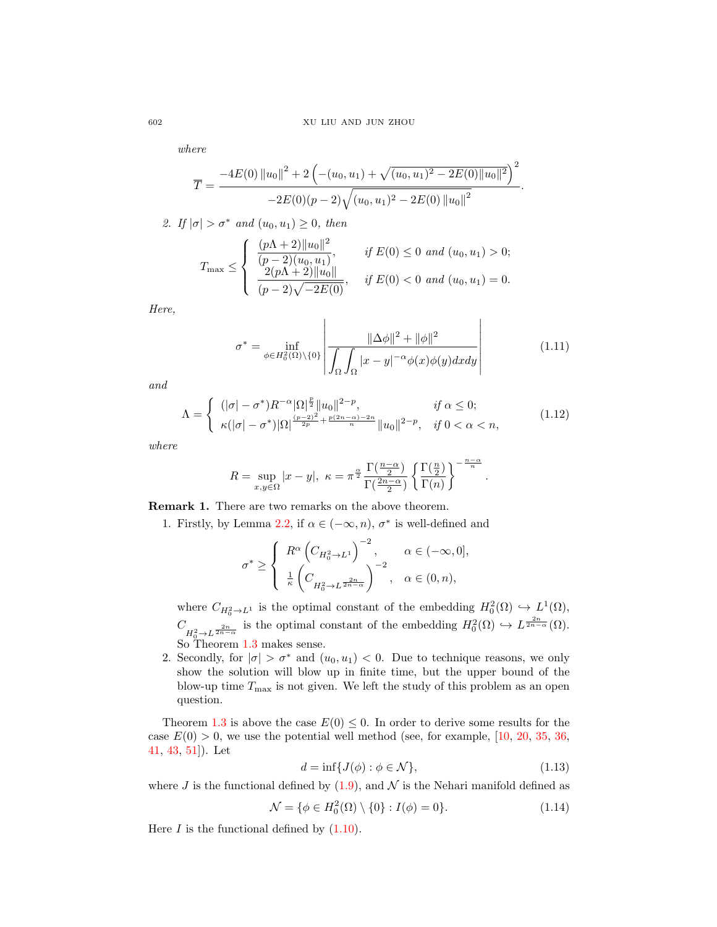where

$$
\overline{T} = \frac{-4E(0) \|u_0\|^2 + 2\left(-(u_0, u_1) + \sqrt{(u_0, u_1)^2 - 2E(0) \|u_0\|^2}\right)^2}{-2E(0)(p-2)\sqrt{(u_0, u_1)^2 - 2E(0) \|u_0\|^2}}
$$

2. If  $|\sigma| > \sigma^*$  and  $(u_0, u_1) \geq 0$ , then

$$
T_{\max} \leq \begin{cases} \frac{(p\Lambda+2)\|u_0\|^2}{(p-2)(u_0, u_1)}, & \text{if } E(0) \leq 0 \text{ and } (u_0, u_1) > 0; \\ \frac{2(p\Lambda+2)\|u_0\|}{(p-2)\sqrt{-2E(0)}}, & \text{if } E(0) < 0 \text{ and } (u_0, u_1) = 0. \end{cases}
$$

Here,

<span id="page-3-0"></span>
$$
\sigma^* = \inf_{\phi \in H_0^2(\Omega) \backslash \{0\}} \left| \frac{\|\Delta \phi\|^2 + \|\phi\|^2}{\int_{\Omega} \int_{\Omega} |x - y|^{-\alpha} \phi(x) \phi(y) dx dy} \right| \tag{1.11}
$$

.

and

$$
\Lambda = \begin{cases} \n(|\sigma| - \sigma^*) R^{-\alpha} |\Omega|^{\frac{p}{2}} \|u_0\|^{2-p}, & \text{if } \alpha \le 0; \\
\kappa (|\sigma| - \sigma^*) |\Omega|^{\frac{(p-2)^2}{2p} + \frac{p(2n-\alpha)-2n}{n}} \|u_0\|^{2-p}, & \text{if } 0 < \alpha < n,\n\end{cases} \tag{1.12}
$$

where

$$
R = \sup_{x,y \in \Omega} |x - y|, \ \kappa = \pi^{\frac{\alpha}{2}} \frac{\Gamma(\frac{n-\alpha}{2})}{\Gamma(\frac{2n-\alpha}{2})} \left\{ \frac{\Gamma(\frac{n}{2})}{\Gamma(n)} \right\}^{-\frac{n-\alpha}{n}}.
$$

Remark 1. There are two remarks on the above theorem.

1. Firstly, by Lemma [2.2,](#page-5-0) if  $\alpha \in (-\infty, n)$ ,  $\sigma^*$  is well-defined and

$$
\sigma^* \ge \left\{ \begin{array}{ll} R^\alpha \left(C_{H_0^2 \rightarrow L^1}\right)^{-2}, & \alpha \in (-\infty, 0], \\ \frac{1}{\kappa} \left(C_{H_0^2 \rightarrow L^{\frac{2n}{2n-\alpha}}} \right)^{-2}, & \alpha \in (0, n), \end{array} \right.
$$

where  $C_{H_0^2 \to L^1}$  is the optimal constant of the embedding  $H_0^2(\Omega) \hookrightarrow L^1(\Omega)$ ,  $C_{H_0^2 \to L^{\frac{2n}{2n-\alpha}}}$  is the optimal constant of the embedding  $H_0^2(\Omega) \hookrightarrow L^{\frac{2n}{2n-\alpha}}(\Omega)$ . So Theorem [1.3](#page-2-1) makes sense.

2. Secondly, for  $|\sigma| > \sigma^*$  and  $(u_0, u_1) < 0$ . Due to technique reasons, we only show the solution will blow up in finite time, but the upper bound of the blow-up time  $T_{\text{max}}$  is not given. We left the study of this problem as an open question.

Theorem [1.3](#page-2-1) is above the case  $E(0) \le 0$ . In order to derive some results for the case  $E(0) > 0$ , we use the potential well method (see, for example, [\[10,](#page-24-19) [20,](#page-24-20) [35,](#page-25-19) [36,](#page-25-20) [41,](#page-25-21) [43,](#page-25-22) [51\]](#page-25-23)). Let

<span id="page-3-1"></span>
$$
d = \inf\{J(\phi) : \phi \in \mathcal{N}\},\tag{1.13}
$$

where J is the functional defined by  $(1.9)$ , and  $\mathcal N$  is the Nehari manifold defined as

<span id="page-3-2"></span>
$$
\mathcal{N} = \{ \phi \in H_0^2(\Omega) \setminus \{0\} : I(\phi) = 0 \}.
$$
 (1.14)

Here  $I$  is the functional defined by  $(1.10)$ .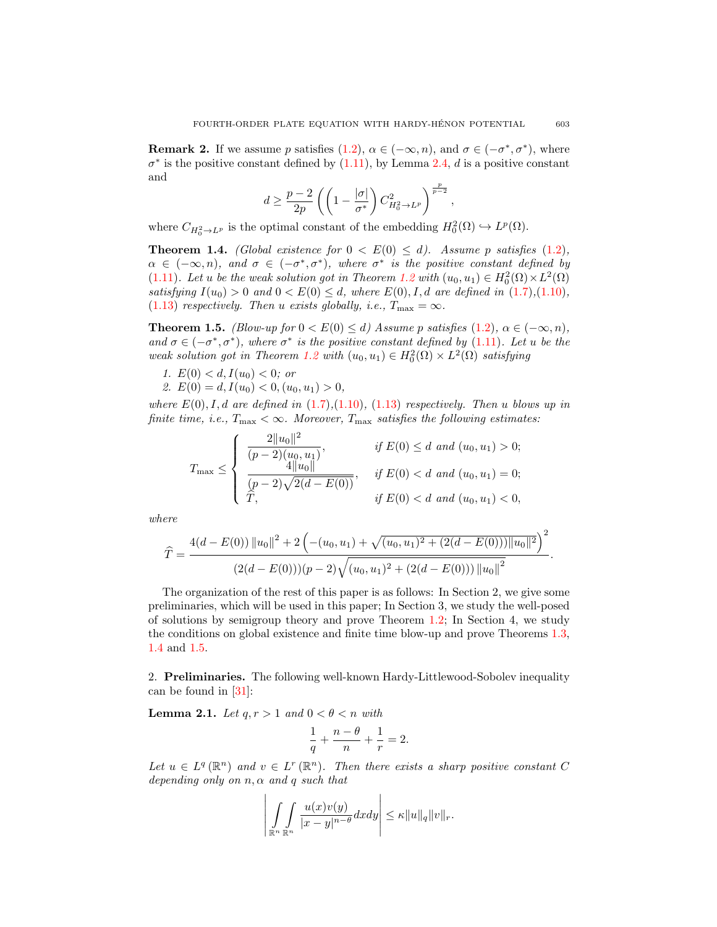**Remark 2.** If we assume p satisfies  $(1.2)$ ,  $\alpha \in (-\infty, n)$ , and  $\sigma \in (-\sigma^*, \sigma^*)$ , where  $\sigma^*$  is the positive constant defined by [\(1.11\)](#page-3-0), by Lemma [2.4,](#page-6-0) d is a positive constant and

$$
d \geq \frac{p-2}{2p} \left( \left( 1 - \frac{|\sigma|}{\sigma^*} \right) C_{H_0^2 \to L^p}^2 \right)^{\frac{p}{p-2}},
$$

where  $C_{H_0^2 \to L^p}$  is the optimal constant of the embedding  $H_0^2(\Omega) \hookrightarrow L^p(\Omega)$ .

<span id="page-4-0"></span>**Theorem 1.4.** (Global existence for  $0 < E(0) \le d$ ). Assume p satisfies [\(1.2\)](#page-0-1),  $\alpha \in (-\infty, n)$ , and  $\sigma \in (-\sigma^*, \sigma^*)$ , where  $\sigma^*$  is the positive constant defined by [\(1.11\)](#page-3-0). Let u be the weak solution got in Theorem [1.2](#page-2-0) with  $(u_0, u_1) \in H_0^2(\Omega) \times L^2(\Omega)$ satisfying  $I(u_0) > 0$  and  $0 < E(0) \leq d$ , where  $E(0), I, d$  are defined in [\(1.7\)](#page-2-4),[\(1.10\)](#page-2-3), [\(1.13\)](#page-3-1) respectively. Then u exists globally, i.e.,  $T_{\text{max}} = \infty$ .

<span id="page-4-1"></span>**Theorem 1.5.** (Blow-up for  $0 < E(0) \le d$ ) Assume p satisfies [\(1.2\)](#page-0-1),  $\alpha \in (-\infty, n)$ , and  $\sigma \in (-\sigma^*, \sigma^*)$ , where  $\sigma^*$  is the positive constant defined by [\(1.11\)](#page-3-0). Let u be the weak solution got in Theorem [1.2](#page-2-0) with  $(u_0, u_1) \in H_0^2(\Omega) \times L^2(\Omega)$  satisfying

- 1.  $E(0) < d, I(u_0) < 0$ ; or
- 2.  $E(0) = d, I(u_0) < 0, (u_0, u_1) > 0,$

where  $E(0)$ , I, d are defined in  $(1.7)$ , $(1.10)$ ,  $(1.13)$  respectively. Then u blows up in finite time, i.e.,  $T_{\text{max}} < \infty$ . Moreover,  $T_{\text{max}}$  satisfies the following estimates:

$$
T_{\max} \leq \begin{cases} \frac{2||u_0||^2}{(p-2)(u_0, u_1)}, & \text{if } E(0) \leq d \text{ and } (u_0, u_1) > 0; \\ \frac{4||u_0||}{(p-2)\sqrt{2(d-E(0))}}, & \text{if } E(0) < d \text{ and } (u_0, u_1) = 0; \\ \widehat{T}, & \text{if } E(0) < d \text{ and } (u_0, u_1) < 0, \end{cases}
$$

where

$$
\widehat{T} = \frac{4(d - E(0)) ||u_0||^2 + 2\left(-(u_0, u_1) + \sqrt{(u_0, u_1)^2 + (2(d - E(0))) ||u_0||^2}\right)^2}{(2(d - E(0)))(p - 2)\sqrt{(u_0, u_1)^2 + (2(d - E(0))) ||u_0||^2}}.
$$

The organization of the rest of this paper is as follows: In Section 2, we give some preliminaries, which will be used in this paper; In Section 3, we study the well-posed of solutions by semigroup theory and prove Theorem [1.2;](#page-2-0) In Section 4, we study the conditions on global existence and finite time blow-up and prove Theorems [1.3,](#page-2-1) [1.4](#page-4-0) and [1.5.](#page-4-1)

2. Preliminaries. The following well-known Hardy-Littlewood-Sobolev inequality can be found in [\[31\]](#page-25-24):

<span id="page-4-2"></span>**Lemma 2.1.** Let  $q, r > 1$  and  $0 < \theta < n$  with

$$
\frac{1}{q} + \frac{n-\theta}{n} + \frac{1}{r} = 2.
$$

Let  $u \in L^q(\mathbb{R}^n)$  and  $v \in L^r(\mathbb{R}^n)$ . Then there exists a sharp positive constant C depending only on  $n, \alpha$  and q such that

$$
\left|\int\limits_{\mathbb{R}^n} \int\limits_{\mathbb{R}^n} \frac{u(x)v(y)}{|x-y|^{n-\theta}} dxdy\right| \leq \kappa ||u||_q ||v||_r.
$$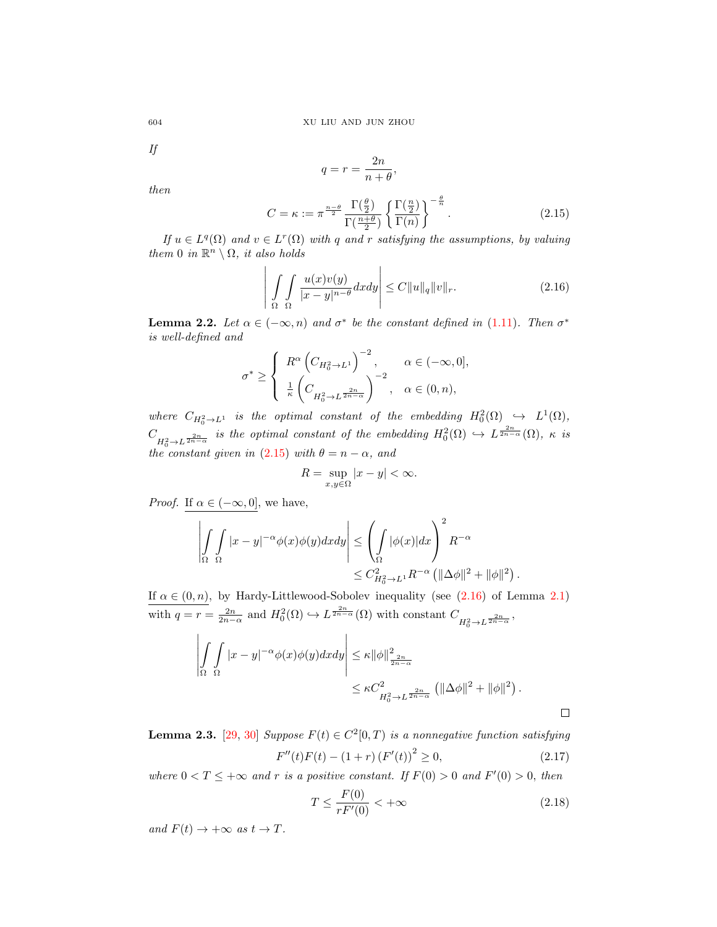If

$$
q = r = \frac{2n}{n+\theta},
$$

then

<span id="page-5-1"></span>
$$
C = \kappa := \pi^{\frac{n-\theta}{2}} \frac{\Gamma(\frac{\theta}{2})}{\Gamma(\frac{n+\theta}{2})} \left\{ \frac{\Gamma(\frac{n}{2})}{\Gamma(n)} \right\}^{-\frac{\theta}{n}}.
$$
 (2.15)

If  $u \in L^q(\Omega)$  and  $v \in L^r(\Omega)$  with q and r satisfying the assumptions, by valuing them 0 in  $\mathbb{R}^n \setminus \Omega$ , it also holds

<span id="page-5-2"></span>
$$
\left| \int_{\Omega} \int_{\Omega} \frac{u(x)v(y)}{|x-y|^{n-\theta}} dx dy \right| \leq C \|u\|_{q} \|v\|_{r}.
$$
 (2.16)

<span id="page-5-0"></span>**Lemma 2.2.** Let  $\alpha \in (-\infty, n)$  and  $\sigma^*$  be the constant defined in [\(1.11\)](#page-3-0). Then  $\sigma^*$ is well-defined and

$$
\sigma^* \geq \left\{ \begin{array}{ll} R^\alpha \left(C_{H_0^2 \rightarrow L^1}\right)^{-2}, & \alpha \in (-\infty,0], \\ \frac{1}{\kappa} \left(C_{H_0^2 \rightarrow L^{\frac{2n}{2n-\alpha}}}\right)^{-2}, & \alpha \in (0,n), \end{array} \right.
$$

where  $C_{H_0^2 \to L^1}$  is the optimal constant of the embedding  $H_0^2(\Omega) \hookrightarrow L^1(\Omega)$ ,  $C_{H_0^2 \to L^{\frac{2n}{2n-\alpha}}}$  is the optimal constant of the embedding  $H_0^2(\Omega) \hookrightarrow L^{\frac{2n}{2n-\alpha}}(\Omega)$ ,  $\kappa$  is the constant given in [\(2.15\)](#page-5-1) with  $\theta = n - \alpha$ , and

$$
R = \sup_{x,y \in \Omega} |x - y| < \infty.
$$

*Proof.* If  $\alpha \in (-\infty, 0]$ , we have,

$$
\left| \int_{\Omega} \int_{\Omega} |x - y|^{-\alpha} \phi(x) \phi(y) dx dy \right| \leq \left( \int_{\Omega} |\phi(x)| dx \right)^2 R^{-\alpha}
$$
  

$$
\leq C_{H_0^2 \to L^1}^2 R^{-\alpha} \left( \|\Delta \phi\|^2 + \|\phi\|^2 \right).
$$

If  $\alpha \in (0, n)$ , by Hardy-Littlewood-Sobolev inequality (see  $(2.16)$  of Lemma [2.1\)](#page-4-2) with  $q = r = \frac{2n}{2n-\alpha}$  and  $H_0^2(\Omega) \hookrightarrow L^{\frac{2n}{2n-\alpha}}(\Omega)$  with constant  $C_{H_0^2 \to L^{\frac{2n}{2n-\alpha}}}$ ,

$$
\left| \int_{\Omega} \int_{\Omega} |x - y|^{-\alpha} \phi(x) \phi(y) dx dy \right| \leq \kappa ||\phi||_{\frac{2n}{2n - \alpha}}^2
$$
  

$$
\leq \kappa C_{H_0^2 \to L^{\frac{2n}{2n - \alpha}}}^2 (||\Delta \phi||^2 + ||\phi||^2).
$$

<span id="page-5-3"></span>**Lemma 2.3.** [\[29,](#page-25-25) [30\]](#page-25-26) Suppose  $F(t) \in C^2[0,T)$  is a nonnegative function satisfying  $F''(t)F(t) - (1+r) (F'(t))^2 \ge 0,$  (2.17)

where  $0 < T \leq +\infty$  and r is a positive constant. If  $F(0) > 0$  and  $F'(0) > 0$ , then

$$
T \le \frac{F(0)}{rF'(0)} < +\infty \tag{2.18}
$$

and  $F(t) \rightarrow +\infty$  as  $t \rightarrow T$ .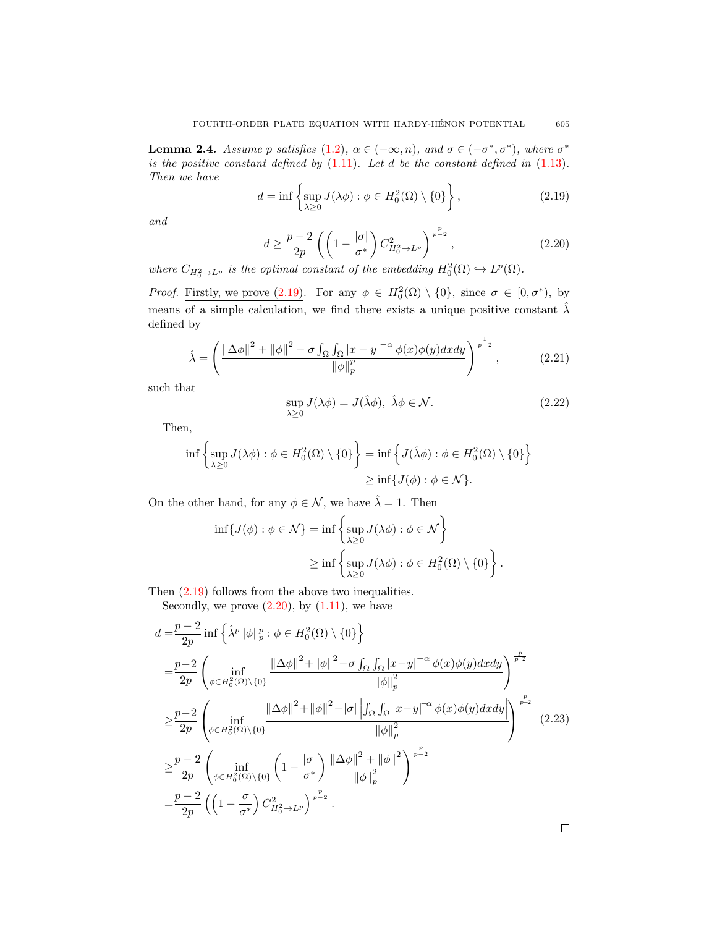<span id="page-6-0"></span>**Lemma 2.4.** Assume p satisfies [\(1.2\)](#page-0-1),  $\alpha \in (-\infty, n)$ , and  $\sigma \in (-\sigma^*, \sigma^*)$ , where  $\sigma^*$ is the positive constant defined by  $(1.11)$ . Let d be the constant defined in  $(1.13)$ . Then we have

<span id="page-6-1"></span>
$$
d = \inf \left\{ \sup_{\lambda \ge 0} J(\lambda \phi) : \phi \in H_0^2(\Omega) \setminus \{0\} \right\},\tag{2.19}
$$

and

<span id="page-6-2"></span>
$$
d \ge \frac{p-2}{2p} \left( \left( 1 - \frac{|\sigma|}{\sigma^*} \right) C_{H_0^2 \to L^p}^2 \right)^{\frac{p}{p-2}},\tag{2.20}
$$

where  $C_{H_0^2 \to L^p}$  is the optimal constant of the embedding  $H_0^2(\Omega) \hookrightarrow L^p(\Omega)$ .

*Proof.* Firstly, we prove [\(2.19\)](#page-6-1). For any  $\phi \in H_0^2(\Omega) \setminus \{0\}$ , since  $\sigma \in [0, \sigma^*),$  by means of a simple calculation, we find there exists a unique positive constant  $\hat{\lambda}$ defined by

$$
\hat{\lambda} = \left(\frac{\left\|\Delta\phi\right\|^2 + \|\phi\|^2 - \sigma \int_{\Omega} \int_{\Omega} |x - y|^{-\alpha} \phi(x)\phi(y) dx dy}{\|\phi\|_{p}^{p}}\right)^{\frac{1}{p-2}},\tag{2.21}
$$

such that

$$
\sup_{\lambda \ge 0} J(\lambda \phi) = J(\hat{\lambda} \phi), \ \hat{\lambda} \phi \in \mathcal{N}.
$$
 (2.22)

.

Then,

$$
\inf \left\{ \sup_{\lambda \geq 0} J(\lambda \phi) : \phi \in H_0^2(\Omega) \setminus \{0\} \right\} = \inf \left\{ J(\hat{\lambda} \phi) : \phi \in H_0^2(\Omega) \setminus \{0\} \right\}
$$

$$
\geq \inf \{ J(\phi) : \phi \in \mathcal{N} \}.
$$

On the other hand, for any  $\phi \in \mathcal{N}$ , we have  $\hat{\lambda} = 1$ . Then

$$
\inf\{J(\phi) : \phi \in \mathcal{N}\} = \inf\left\{\sup_{\lambda \ge 0} J(\lambda \phi) : \phi \in \mathcal{N}\right\}
$$

$$
\ge \inf\left\{\sup_{\lambda \ge 0} J(\lambda \phi) : \phi \in H_0^2(\Omega) \setminus \{0\}\right\}
$$

Then [\(2.19\)](#page-6-1) follows from the above two inequalities.

Secondly, we prove  $(2.20)$ , by  $(1.11)$ , we have

<span id="page-6-3"></span>
$$
d = \frac{p-2}{2p} \inf \left\{ \hat{\lambda}^p ||\phi||_p^p : \phi \in H_0^2(\Omega) \setminus \{0\} \right\}
$$
  
\n
$$
= \frac{p-2}{2p} \left( \inf_{\phi \in H_0^2(\Omega) \setminus \{0\}} \frac{||\Delta\phi||^2 + ||\phi||^2 - \sigma \int_{\Omega} \int_{\Omega} |x-y|^{-\alpha} \phi(x)\phi(y) dxdy}{||\phi||_p^2} \right)^{\frac{p}{p-2}}
$$
  
\n
$$
\geq \frac{p-2}{2p} \left( \inf_{\phi \in H_0^2(\Omega) \setminus \{0\}} \frac{||\Delta\phi||^2 + ||\phi||^2 - |\sigma| \left| \int_{\Omega} \int_{\Omega} |x-y|^{-\alpha} \phi(x)\phi(y) dxdy \right|}{||\phi||_p^2} \right)^{\frac{p}{p-2}} (2.23)
$$
  
\n
$$
\geq \frac{p-2}{2p} \left( \inf_{\phi \in H_0^2(\Omega) \setminus \{0\}} \left( 1 - \frac{|\sigma|}{\sigma^*} \right) \frac{||\Delta\phi||^2 + ||\phi||^2}{||\phi||_p^2} \right)^{\frac{p}{p-2}}
$$
  
\n
$$
= \frac{p-2}{2p} \left( \left( 1 - \frac{\sigma}{\sigma^*} \right) C_{H_0^2 \to L^p}^2 \right)^{\frac{p}{p-2}}.
$$

Ц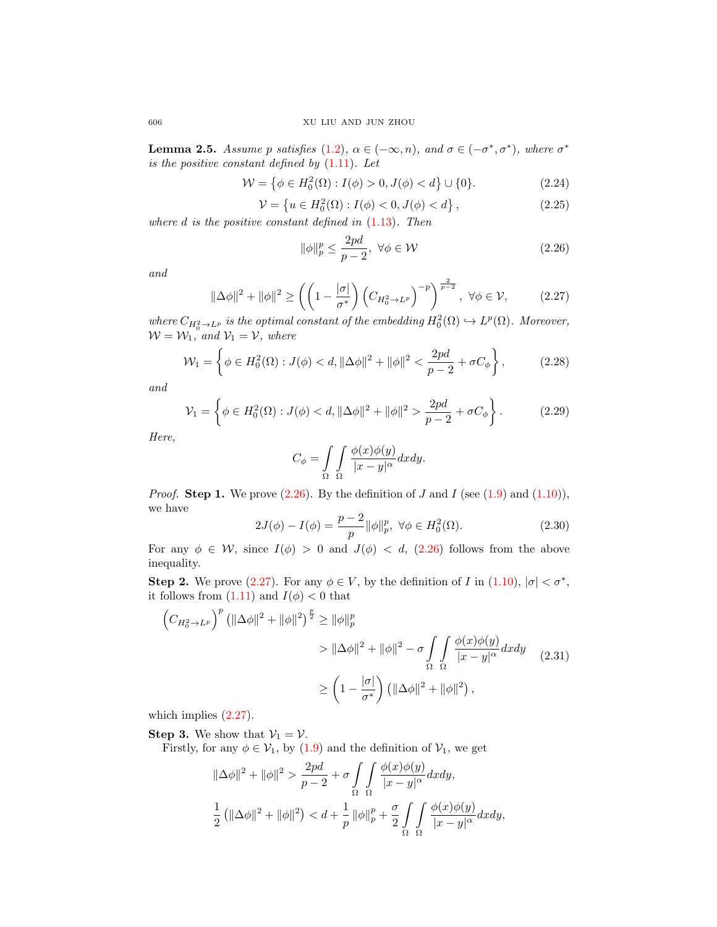<span id="page-7-7"></span>**Lemma 2.5.** Assume p satisfies [\(1.2\)](#page-0-1),  $\alpha \in (-\infty, n)$ , and  $\sigma \in (-\sigma^*, \sigma^*)$ , where  $\sigma^*$ is the positive constant defined by  $(1.11)$ . Let

<span id="page-7-4"></span>
$$
\mathcal{W} = \left\{ \phi \in H_0^2(\Omega) : I(\phi) > 0, J(\phi) < d \right\} \cup \{0\}. \tag{2.24}
$$

<span id="page-7-5"></span>
$$
\mathcal{V} = \left\{ u \in H_0^2(\Omega) : I(\phi) < 0, J(\phi) < d \right\},\tag{2.25}
$$

where  $d$  is the positive constant defined in  $(1.13)$ . Then

<span id="page-7-0"></span>
$$
\|\phi\|_p^p \le \frac{2pd}{p-2}, \ \forall \phi \in \mathcal{W} \tag{2.26}
$$

and

<span id="page-7-1"></span>
$$
\|\Delta\phi\|^2 + \|\phi\|^2 \ge \left( \left(1 - \frac{|\sigma|}{\sigma^*}\right) \left(C_{H_0^2 \to L^p}\right)^{-p} \right)^{\frac{2}{p-2}}, \ \forall \phi \in \mathcal{V}, \tag{2.27}
$$

where  $C_{H_0^2 \to L^p}$  is the optimal constant of the embedding  $H_0^2(\Omega) \hookrightarrow L^p(\Omega)$ . Moreover,  $W = W_1$ , and  $V_1 = V$ , where

<span id="page-7-3"></span>
$$
\mathcal{W}_1 = \left\{ \phi \in H_0^2(\Omega) : J(\phi) < d, \|\Delta \phi\|^2 + \|\phi\|^2 < \frac{2pd}{p-2} + \sigma C_\phi \right\},\tag{2.28}
$$

and

<span id="page-7-6"></span>
$$
\mathcal{V}_1 = \left\{ \phi \in H_0^2(\Omega) : J(\phi) < d, \|\Delta\phi\|^2 + \|\phi\|^2 > \frac{2pd}{p-2} + \sigma C_\phi \right\}.
$$
\n(2.29)

Here,

$$
C_{\phi} = \int_{\Omega} \int_{\Omega} \frac{\phi(x)\phi(y)}{|x - y|^{\alpha}} dx dy.
$$

*Proof.* **Step 1.** We prove [\(2.26\)](#page-7-0). By the definition of J and I (see [\(1.9\)](#page-2-2) and [\(1.10\)](#page-2-3)), we have

<span id="page-7-8"></span>
$$
2J(\phi) - I(\phi) = \frac{p-2}{p} ||\phi||_p^p, \ \forall \phi \in H_0^2(\Omega). \tag{2.30}
$$

For any  $\phi \in \mathcal{W}$ , since  $I(\phi) > 0$  and  $J(\phi) < d$ , [\(2.26\)](#page-7-0) follows from the above inequality.

Step 2. We prove [\(2.27\)](#page-7-1). For any  $\phi \in V$ , by the definition of I in [\(1.10\)](#page-2-3),  $|\sigma| < \sigma^*$ , it follows from  $(1.11)$  and  $I(\phi) < 0$  that

<span id="page-7-2"></span>
$$
\left(C_{H_0^2 \to L^p}\right)^p \left(\|\Delta \phi\|^2 + \|\phi\|^2\right)^{\frac{p}{2}} \ge \|\phi\|_p^p
$$
  
>  $\|\Delta \phi\|^2 + \|\phi\|^2 - \sigma \int_{\Omega} \int_{\Omega} \frac{\phi(x)\phi(y)}{|x - y|^{\alpha}} dx dy$  (2.31)  

$$
\ge \left(1 - \frac{|\sigma|}{\sigma^*}\right) \left(\|\Delta \phi\|^2 + \|\phi\|^2\right),
$$

which implies [\(2.27\)](#page-7-1).

**Step 3.** We show that  $V_1 = V$ .

Firstly, for any  $\phi \in \mathcal{V}_1$ , by [\(1.9\)](#page-2-2) and the definition of  $\mathcal{V}_1$ , we get

$$
\|\Delta\phi\|^2 + \|\phi\|^2 > \frac{2pd}{p-2} + \sigma \int_{\Omega} \int_{\Omega} \frac{\phi(x)\phi(y)}{|x-y|^{\alpha}} dx dy,
$$
\n
$$
\frac{1}{2} \left( \|\Delta\phi\|^2 + \|\phi\|^2 \right) < d + \frac{1}{p} \|\phi\|_p^p + \frac{\sigma}{2} \int_{\Omega} \int_{\Omega} \frac{\phi(x)\phi(y)}{|x-y|^{\alpha}} dx dy,
$$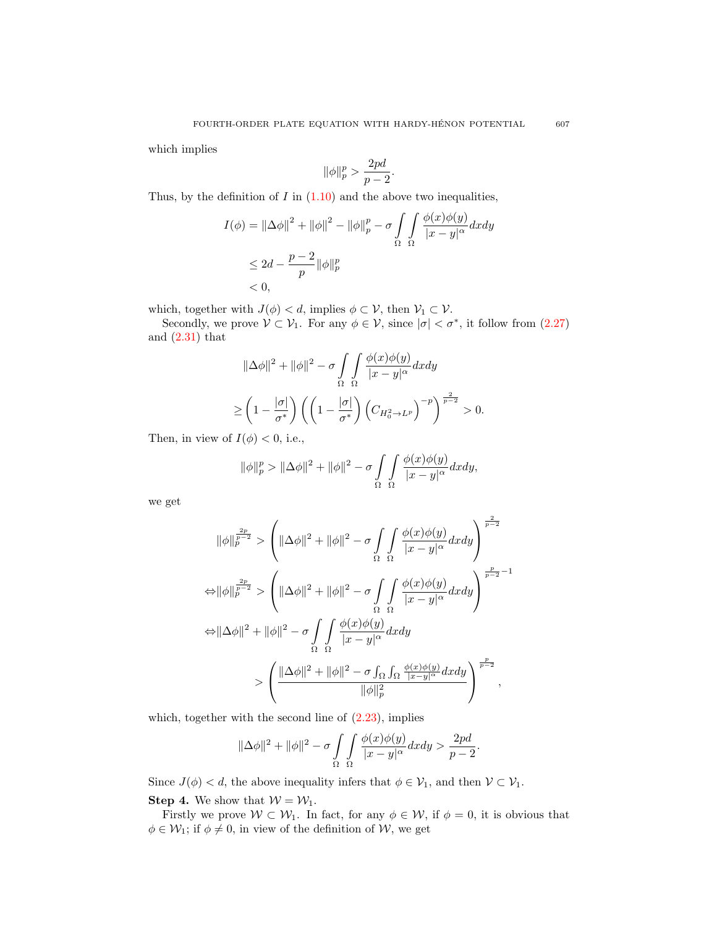which implies

$$
\|\phi\|_p^p > \frac{2pd}{p-2}.
$$

Thus, by the definition of  $I$  in  $(1.10)$  and the above two inequalities,

$$
I(\phi) = \|\Delta\phi\|^2 + \|\phi\|^2 - \|\phi\|_p^p - \sigma \int_{\Omega} \int_{\Omega} \frac{\phi(x)\phi(y)}{|x - y|^{\alpha}} dx dy
$$
  

$$
\leq 2d - \frac{p - 2}{p} \|\phi\|_p^p
$$
  
< 0,

which, together with  $J(\phi) < d$ , implies  $\phi \subset \mathcal{V}$ , then  $\mathcal{V}_1 \subset \mathcal{V}$ .

Secondly, we prove  $V \subset V_1$ . For any  $\phi \in V$ , since  $|\sigma| < \sigma^*$ , it follow from [\(2.27\)](#page-7-1) and  $(2.31)$  that

$$
\|\Delta\phi\|^2 + \|\phi\|^2 - \sigma \int_{\Omega} \int_{\Omega} \frac{\phi(x)\phi(y)}{|x - y|^{\alpha}} dx dy
$$
  

$$
\geq \left(1 - \frac{|\sigma|}{\sigma^*}\right) \left(\left(1 - \frac{|\sigma|}{\sigma^*}\right) \left(C_{H_0^2 \to L^p}\right)^{-p}\right)^{\frac{2}{p-2}} > 0.
$$

Then, in view of  $I(\phi) < 0$ , i.e.,

$$
\|\phi\|_p^p > \|\Delta\phi\|^2 + \|\phi\|^2 - \sigma \int_{\Omega} \int_{\Omega} \frac{\phi(x)\phi(y)}{|x-y|^{\alpha}} dx dy,
$$

we get

$$
\|\phi\|_p^{\frac{2p}{p-2}} \ge \left(\|\Delta\phi\|^2 + \|\phi\|^2 - \sigma \int_{\Omega} \int_{\Omega} \frac{\phi(x)\phi(y)}{|x-y|^{\alpha}} dx dy\right)^{\frac{2}{p-2}}
$$
  

$$
\Leftrightarrow \|\phi\|_p^{\frac{2p}{p-2}} \ge \left(\|\Delta\phi\|^2 + \|\phi\|^2 - \sigma \int_{\Omega} \int_{\Omega} \frac{\phi(x)\phi(y)}{|x-y|^{\alpha}} dx dy\right)^{\frac{p}{p-2}-1}
$$
  

$$
\Leftrightarrow \|\Delta\phi\|^2 + \|\phi\|^2 - \sigma \int_{\Omega} \int_{\Omega} \frac{\phi(x)\phi(y)}{|x-y|^{\alpha}} dx dy
$$
  

$$
> \left(\frac{\|\Delta\phi\|^2 + \|\phi\|^2 - \sigma \int_{\Omega} \int_{\Omega} \frac{\phi(x)\phi(y)}{|x-y|^{\alpha}} dx dy}{\|\phi\|_p^2}\right)^{\frac{p}{p-2}},
$$

which, together with the second line of  $(2.23)$ , implies

$$
\|\Delta\phi\|^2 + \|\phi\|^2 - \sigma \int_{\Omega} \int_{\Omega} \frac{\phi(x)\phi(y)}{|x-y|^{\alpha}} dx dy > \frac{2pd}{p-2}.
$$

Since  $J(\phi) < d$ , the above inequality infers that  $\phi \in \mathcal{V}_1$ , and then  $\mathcal{V} \subset \mathcal{V}_1$ . **Step 4.** We show that  $W = W_1$ .

Firstly we prove  $W \subset W_1$ . In fact, for any  $\phi \in W$ , if  $\phi = 0$ , it is obvious that  $\phi \in \mathcal{W}_1$ ; if  $\phi \neq 0$ , in view of the definition of W, we get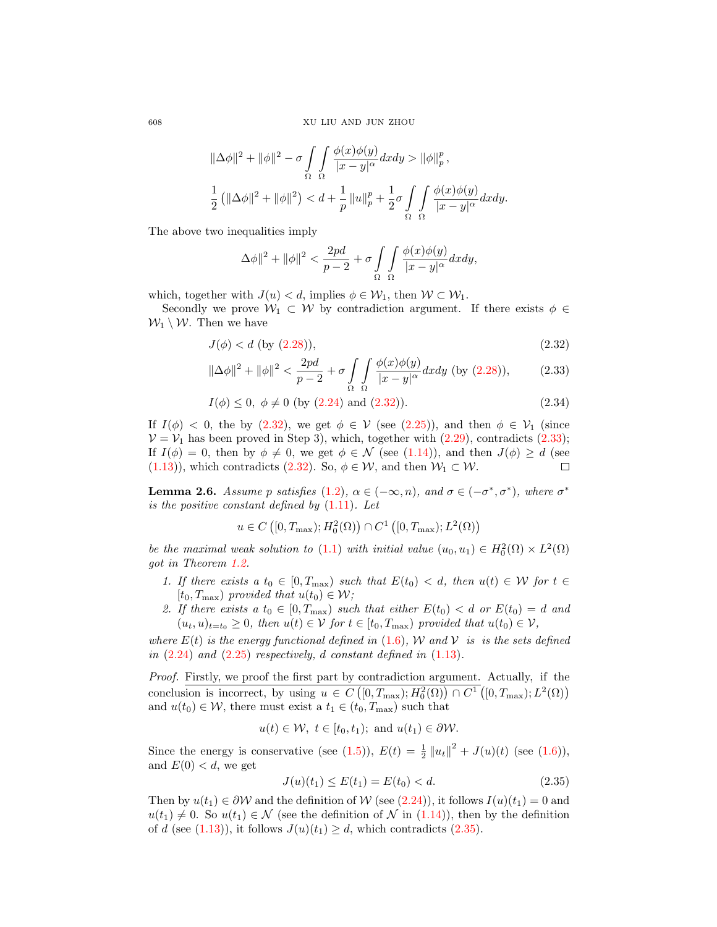$$
\begin{aligned}&\|\Delta\phi\|^2+\|\phi\|^2-\sigma\int\limits_{\Omega}\int\limits_{\Omega}\frac{\phi(x)\phi(y)}{|x-y|^{\alpha}}dxdy>\|\phi\|_p^p\,,\\&\frac{1}{2}\left(\|\Delta\phi\|^2+\|\phi\|^2\right)< d+\frac{1}{p}\left\|u\right\|_p^p+\frac{1}{2}\sigma\int\limits_{\Omega}\int\limits_{\Omega}\frac{\phi(x)\phi(y)}{|x-y|^{\alpha}}dxdy.\end{aligned}
$$

The above two inequalities imply

<span id="page-9-1"></span><span id="page-9-0"></span>
$$
\Delta\phi\|^2 + \|\phi\|^2 < \frac{2pd}{p-2} + \sigma \int\limits_{\Omega} \int\limits_{\Omega} \frac{\phi(x)\phi(y)}{|x-y|^{\alpha}} dxdy,
$$

which, together with  $J(u) < d$ , implies  $\phi \in \mathcal{W}_1$ , then  $\mathcal{W} \subset \mathcal{W}_1$ .

Secondly we prove  $W_1 \subset W$  by contradiction argument. If there exists  $\phi \in$  $W_1 \setminus W$ . Then we have

$$
J(\phi) < d \text{ (by (2.28))},\tag{2.32}
$$

$$
\|\Delta\phi\|^2 + \|\phi\|^2 < \frac{2pd}{p-2} + \sigma \int_{\Omega} \int_{\Omega} \frac{\phi(x)\phi(y)}{|x-y|^{\alpha}} dx dy \text{ (by (2.28))},\tag{2.33}
$$

$$
I(\phi) \le 0, \ \phi \ne 0 \text{ (by (2.24) and (2.32))}.
$$
\n
$$
(2.34)
$$

If  $I(\phi) < 0$ , the by [\(2.32\)](#page-9-0), we get  $\phi \in V$  (see [\(2.25\)](#page-7-5)), and then  $\phi \in V_1$  (since  $V = V_1$  has been proved in Step 3), which, together with  $(2.29)$ , contradicts  $(2.33)$ ; If  $I(\phi) = 0$ , then by  $\phi \neq 0$ , we get  $\phi \in \mathcal{N}$  (see  $(1.14)$ ), and then  $J(\phi) \geq d$  (see [\(1.13\)](#page-3-1)), which contradicts [\(2.32\)](#page-9-0). So,  $\phi \in \mathcal{W}$ , and then  $\mathcal{W}_1 \subset \mathcal{W}$ .  $\Box$ 

<span id="page-9-3"></span>**Lemma 2.6.** Assume p satisfies [\(1.2\)](#page-0-1),  $\alpha \in (-\infty, n)$ , and  $\sigma \in (-\sigma^*, \sigma^*)$ , where  $\sigma^*$ is the positive constant defined by  $(1.11)$ . Let

$$
u \in C\left([0,T_{\max}); H_0^2(\Omega)\right) \cap C^1\left([0,T_{\max}); L^2(\Omega)\right)
$$

be the maximal weak solution to [\(1.1\)](#page-0-0) with initial value  $(u_0, u_1) \in H_0^2(\Omega) \times L^2(\Omega)$ got in Theorem [1.2.](#page-2-0)

- 1. If there exists a  $t_0 \in [0, T_{\text{max}})$  such that  $E(t_0) < d$ , then  $u(t) \in \mathcal{W}$  for  $t \in$ [ $t_0, T_{\text{max}}$ ] provided that  $u(t_0) \in \mathcal{W}$ ;
- 2. If there exists a  $t_0 \in [0, T_{\text{max}})$  such that either  $E(t_0) < d$  or  $E(t_0) = d$  and  $(u_t, u)_{t=t_0} \geq 0$ , then  $u(t) \in V$  for  $t \in [t_0, T_{\text{max}})$  provided that  $u(t_0) \in V$ ,

where  $E(t)$  is the energy functional defined in [\(1.6\)](#page-2-5), W and V is is the sets defined in  $(2.24)$  and  $(2.25)$  respectively, d constant defined in  $(1.13)$ .

Proof. Firstly, we proof the first part by contradiction argument. Actually, if the conclusion is incorrect, by using  $u \in C([0,T_{\max}); H_0^2(\Omega)) \cap C^1([0,T_{\max}); L^2(\Omega))$ and  $u(t_0) \in \mathcal{W}$ , there must exist a  $t_1 \in (t_0, T_{\text{max}})$  such that

$$
u(t) \in \mathcal{W}, t \in [t_0, t_1); \text{ and } u(t_1) \in \partial \mathcal{W}.
$$

Since the energy is conservative (see [\(1.5\)](#page-2-6)),  $E(t) = \frac{1}{2} ||u_t||^2 + J(u)(t)$  (see [\(1.6\)](#page-2-5)), and  $E(0) < d$ , we get

<span id="page-9-2"></span>
$$
J(u)(t_1) \le E(t_1) = E(t_0) < d. \tag{2.35}
$$

Then by  $u(t_1) \in \partial \mathcal{W}$  and the definition of  $\mathcal{W}$  (see [\(2.24\)](#page-7-4)), it follows  $I(u)(t_1) = 0$  and  $u(t_1) \neq 0$ . So  $u(t_1) \in \mathcal{N}$  (see the definition of  $\mathcal{N}$  in [\(1.14\)](#page-3-2)), then by the definition of d (see [\(1.13\)](#page-3-1)), it follows  $J(u)(t_1) \ge d$ , which contradicts [\(2.35\)](#page-9-2).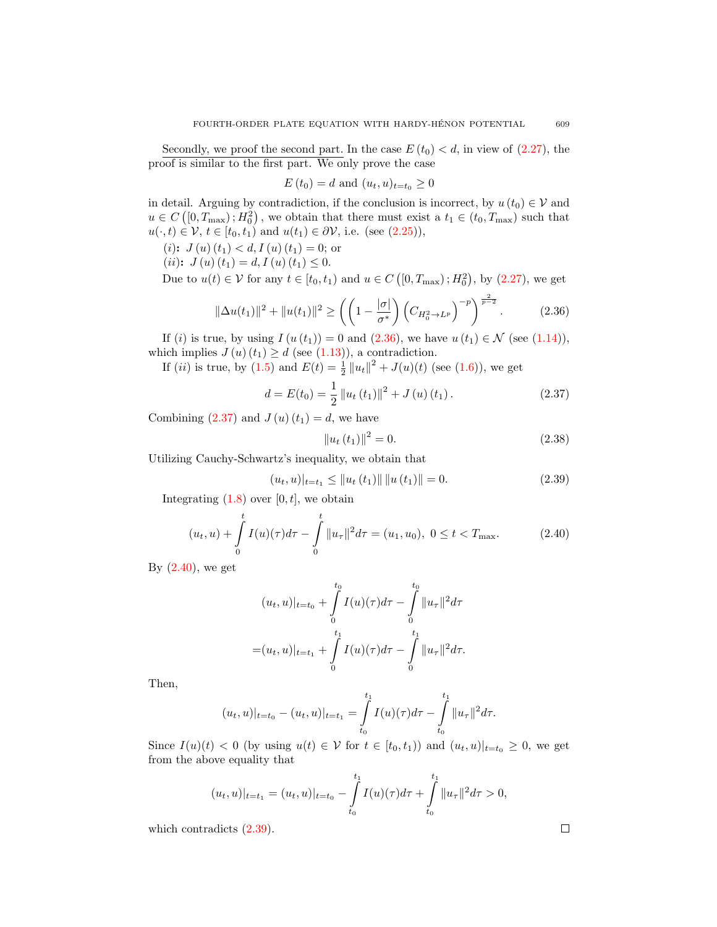Secondly, we proof the second part. In the case  $E(t_0) < d$ , in view of  $(2.27)$ , the proof is similar to the first part. We only prove the case

$$
E(t_0) = d
$$
 and 
$$
(u_t, u)_{t=t_0} \ge 0
$$

in detail. Arguing by contradiction, if the conclusion is incorrect, by  $u(t_0) \in V$  and  $u \in C([0,T_{\max});H_0^2)$ , we obtain that there must exist a  $t_1 \in (t_0,T_{\max})$  such that  $u(\cdot, t) \in \mathcal{V}, t \in [t_0, t_1)$  and  $u(t_1) \in \partial \mathcal{V}$ , i.e. (see [\(2.25\)](#page-7-5)),

(*i*):  $J(u)(t_1) < d, I(u)(t_1) = 0$ ; or

(*ii*):  $J(u)(t_1) = d, I(u)(t_1) \leq 0.$ 

Due to  $u(t) \in V$  for any  $t \in [t_0, t_1)$  and  $u \in C([0, T_{\text{max}}); H_0^2)$ , by  $(2.27)$ , we get

$$
\|\Delta u(t_1)\|^2 + \|u(t_1)\|^2 \ge \left(\left(1 - \frac{|\sigma|}{\sigma^*}\right) \left(C_{H_0^2 \to L^p}\right)^{-p}\right)^{\frac{2}{p-2}}.\tag{2.36}
$$

If (i) is true, by using  $I(u(t_1)) = 0$  and  $(2.36)$ , we have  $u(t_1) \in \mathcal{N}$  (see [\(1.14\)](#page-3-2)), which implies  $J(u)(t_1) \geq d$  (see [\(1.13\)](#page-3-1)), a contradiction.

If (*ii*) is true, by [\(1.5\)](#page-2-6) and  $E(t) = \frac{1}{2} ||u_t||^2 + J(u)(t)$  (see [\(1.6\)](#page-2-5)), we get

<span id="page-10-1"></span>
$$
d = E(t_0) = \frac{1}{2} ||u_t(t_1)||^2 + J(u)(t_1).
$$
 (2.37)

Combining  $(2.37)$  and  $J(u)(t_1) = d$ , we have

$$
||u_t(t_1)||^2 = 0.
$$
\n(2.38)

Utilizing Cauchy-Schwartz's inequality, we obtain that

<span id="page-10-3"></span>
$$
(u_t, u)|_{t=t_1} \le ||u_t(t_1)|| \, ||u(t_1)|| = 0. \tag{2.39}
$$

Integrating  $(1.8)$  over  $[0, t]$ , we obtain

<span id="page-10-2"></span>
$$
(u_t, u) + \int_0^t I(u)(\tau) d\tau - \int_0^t \|u_\tau\|^2 d\tau = (u_1, u_0), \ 0 \le t < T_{\text{max}}.
$$
 (2.40)

By  $(2.40)$ , we get

$$
(u_t, u)|_{t=t_0} + \int_{0}^{t_0} I(u)(\tau) d\tau - \int_{0}^{t_0} ||u_\tau||^2 d\tau
$$
  
=  $(u_t, u)|_{t=t_1} + \int_{0}^{t_1} I(u)(\tau) d\tau - \int_{0}^{t_1} ||u_\tau||^2 d\tau.$ 

Then,

$$
(u_t, u)|_{t=t_0} - (u_t, u)|_{t=t_1} = \int_{t_0}^{t_1} I(u)(\tau) d\tau - \int_{t_0}^{t_1} ||u_\tau||^2 d\tau.
$$

Since  $I(u)(t) < 0$  (by using  $u(t) \in V$  for  $t \in [t_0, t_1)$ ) and  $(u_t, u)|_{t=t_0} \geq 0$ , we get from the above equality that

$$
(u_t, u)|_{t=t_1} = (u_t, u)|_{t=t_0} - \int_{t_0}^{t_1} I(u)(\tau) d\tau + \int_{t_0}^{t_1} ||u_\tau||^2 d\tau > 0,
$$

which contradicts [\(2.39\)](#page-10-3).

 $\Box$ 

<span id="page-10-0"></span>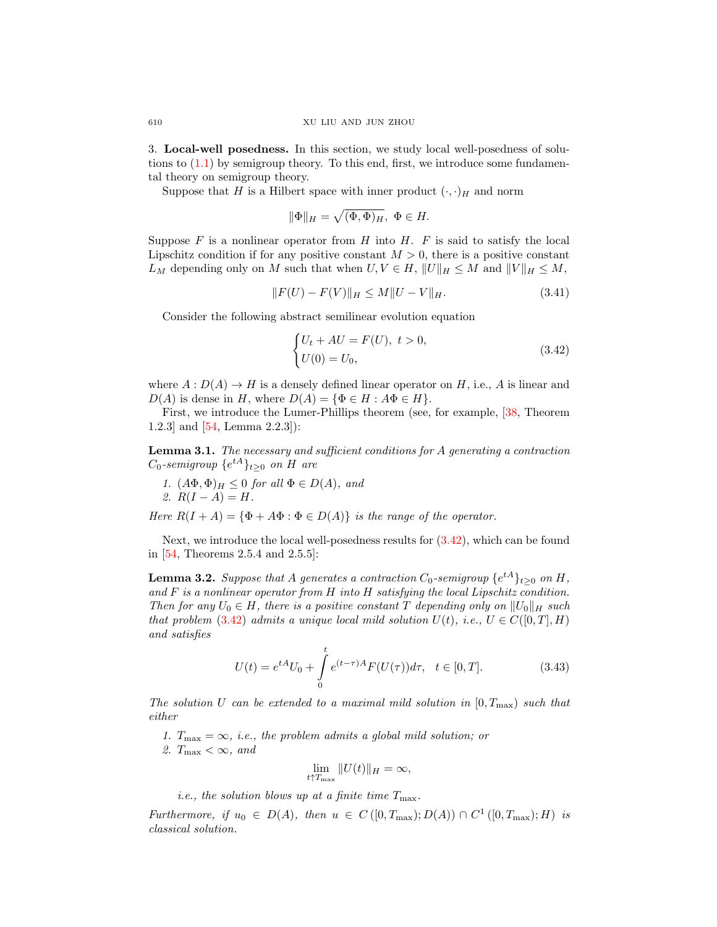3. Local-well posedness. In this section, we study local well-posedness of solutions to  $(1.1)$  by semigroup theory. To this end, first, we introduce some fundamental theory on semigroup theory.

Suppose that H is a Hilbert space with inner product  $(\cdot, \cdot)_H$  and norm

$$
\|\Phi\|_H = \sqrt{(\Phi,\Phi)_H}, \ \Phi \in H.
$$

Suppose  $F$  is a nonlinear operator from  $H$  into  $H$ .  $F$  is said to satisfy the local Lipschitz condition if for any positive constant  $M > 0$ , there is a positive constant  $L_M$  depending only on M such that when  $U, V \in H$ ,  $||U||_H \leq M$  and  $||V||_H \leq M$ ,

$$
||F(U) - F(V)||_H \le M||U - V||_H. \tag{3.41}
$$

Consider the following abstract semilinear evolution equation

<span id="page-11-0"></span>
$$
\begin{cases} U_t + AU = F(U), \ t > 0, \\ U(0) = U_0, \end{cases}
$$
\n(3.42)

where  $A: D(A) \to H$  is a densely defined linear operator on H, i.e., A is linear and  $D(A)$  is dense in H, where  $D(A) = {\Phi \in H : A\Phi \in H}.$ 

First, we introduce the Lumer-Phillips theorem (see, for example, [\[38,](#page-25-27) Theorem 1.2.3] and [\[54,](#page-26-2) Lemma 2.2.3]):

<span id="page-11-1"></span>**Lemma 3.1.** The necessary and sufficient conditions for  $A$  generating a contraction  $C_0$ -semigroup  $\{e^{tA}\}_{t\geq 0}$  on H are

1.  $(A\Phi, \Phi)_H \leq 0$  for all  $\Phi \in D(A)$ , and 2.  $R(I - A) = H$ .

Here  $R(I + A) = {\Phi + A\Phi : \Phi \in D(A)}$  is the range of the operator.

Next, we introduce the local well-posedness results for [\(3.42\)](#page-11-0), which can be found in [\[54,](#page-26-2) Theorems 2.5.4 and 2.5.5]:

<span id="page-11-2"></span>**Lemma 3.2.** Suppose that A generates a contraction  $C_0$ -semigroup  $\{e^{tA}\}_{t\geq0}$  on  $H$ , and  $F$  is a nonlinear operator from  $H$  into  $H$  satisfying the local Lipschitz condition. Then for any  $U_0 \in H$ , there is a positive constant T depending only on  $||U_0||_H$  such that problem [\(3.42\)](#page-11-0) admits a unique local mild solution  $U(t)$ , i.e.,  $U \in C([0, T], H)$ and satisfies

$$
U(t) = e^{tA}U_0 + \int_0^t e^{(t-\tau)A} F(U(\tau))d\tau, \quad t \in [0, T].
$$
\n(3.43)

The solution U can be extended to a maximal mild solution in  $[0, T_{\text{max}})$  such that either

- 1.  $T_{\text{max}} = \infty$ , *i.e.*, the problem admits a global mild solution; or
- 2.  $T_{\text{max}} < \infty$ , and

$$
\lim_{t \uparrow T_{\max}} \|U(t)\|_{H} = \infty,
$$

*i.e.*, the solution blows up at a finite time  $T_{\text{max}}$ .

Furthermore, if  $u_0 \in D(A)$ , then  $u \in C([0, T_{\max}); D(A)) \cap C^1([0, T_{\max}); H)$  is classical solution.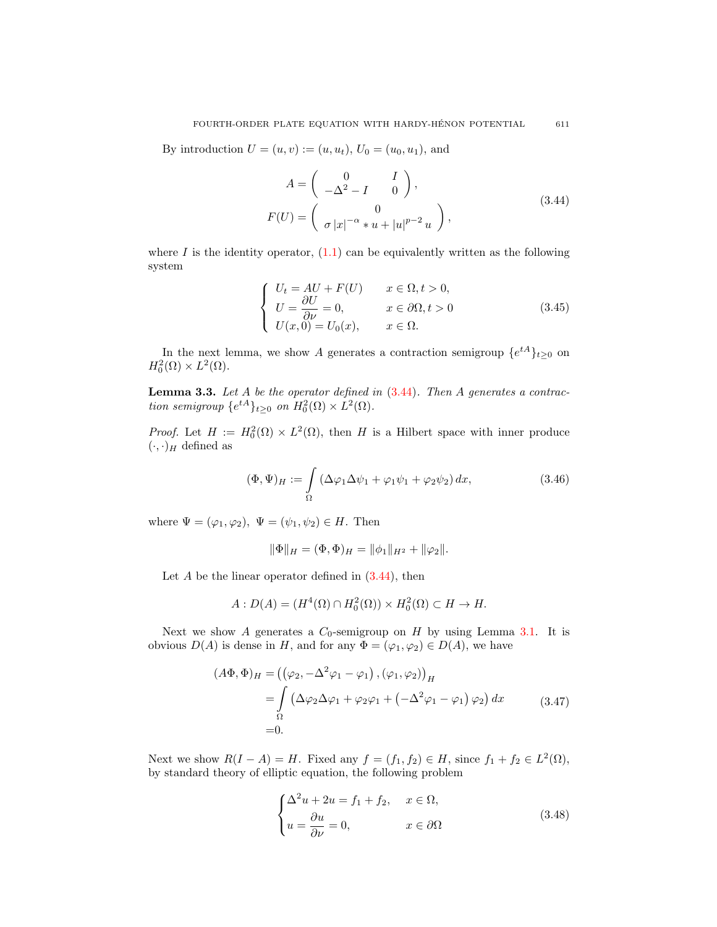<span id="page-12-0"></span>By introduction  $U = (u, v) := (u, u_t)$ ,  $U_0 = (u_0, u_1)$ , and

$$
A = \begin{pmatrix} 0 & I \\ -\Delta^2 - I & 0 \end{pmatrix},
$$
  
\n
$$
F(U) = \begin{pmatrix} 0 \\ \sigma |x|^{-\alpha} * u + |u|^{p-2} u \end{pmatrix},
$$
\n(3.44)

where I is the identity operator,  $(1.1)$  can be equivalently written as the following system

<span id="page-12-1"></span>
$$
\begin{cases}\nU_t = AU + F(U) & x \in \Omega, t > 0, \\
U = \frac{\partial U}{\partial \nu} = 0, & x \in \partial \Omega, t > 0 \\
U(x, 0) = U_0(x), & x \in \Omega.\n\end{cases}
$$
\n(3.45)

In the next lemma, we show A generates a contraction semigroup  $\{e^{tA}\}_{t\geq 0}$  on  $H_0^2(\Omega) \times L^2(\Omega)$ .

<span id="page-12-2"></span>**Lemma 3.3.** Let  $A$  be the operator defined in  $(3.44)$ . Then  $A$  generates a contraction semigroup  $\{e^{tA}\}_{t\geq 0}$  on  $H_0^2(\Omega) \times L^2(\Omega)$ .

*Proof.* Let  $H := H_0^2(\Omega) \times L^2(\Omega)$ , then H is a Hilbert space with inner produce  $(\cdot,\cdot)_H$  defined as

<span id="page-12-4"></span>
$$
(\Phi, \Psi)_H := \int_{\Omega} \left( \Delta \varphi_1 \Delta \psi_1 + \varphi_1 \psi_1 + \varphi_2 \psi_2 \right) dx, \tag{3.46}
$$

where  $\Psi = (\varphi_1, \varphi_2), \ \Psi = (\psi_1, \psi_2) \in H$ . Then

$$
\|\Phi\|_H = (\Phi, \Phi)_H = \|\phi_1\|_{H^2} + \|\phi_2\|.
$$

Let  $A$  be the linear operator defined in  $(3.44)$ , then

$$
A: D(A) = (H^4(\Omega) \cap H_0^2(\Omega)) \times H_0^2(\Omega) \subset H \to H.
$$

Next we show A generates a  $C_0$ -semigroup on H by using Lemma [3.1.](#page-11-1) It is obvious  $D(A)$  is dense in H, and for any  $\Phi = (\varphi_1, \varphi_2) \in D(A)$ , we have

$$
(A\Phi, \Phi)_H = ((\varphi_2, -\Delta^2 \varphi_1 - \varphi_1), (\varphi_1, \varphi_2))_H
$$
  
= 
$$
\int_{\Omega} (\Delta \varphi_2 \Delta \varphi_1 + \varphi_2 \varphi_1 + (-\Delta^2 \varphi_1 - \varphi_1) \varphi_2) dx
$$
 (3.47)  
= 0.

<span id="page-12-3"></span>Next we show  $R(I - A) = H$ . Fixed any  $f = (f_1, f_2) \in H$ , since  $f_1 + f_2 \in L^2(\Omega)$ , by standard theory of elliptic equation, the following problem

$$
\begin{cases}\n\Delta^2 u + 2u = f_1 + f_2, & x \in \Omega, \\
u = \frac{\partial u}{\partial \nu} = 0, & x \in \partial \Omega\n\end{cases}
$$
\n(3.48)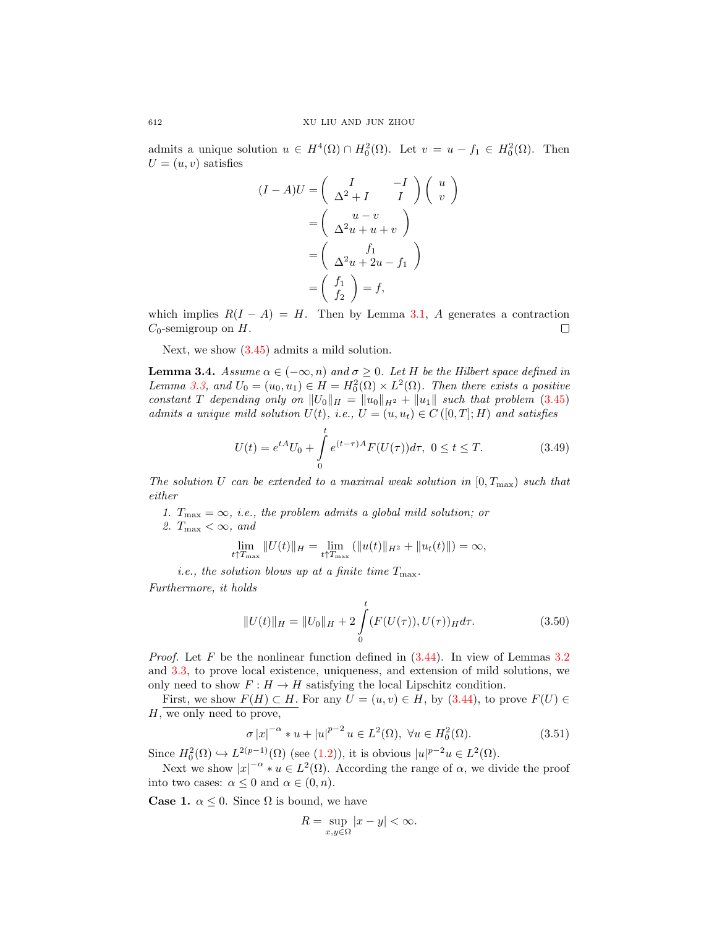admits a unique solution  $u \in H^4(\Omega) \cap H_0^2(\Omega)$ . Let  $v = u - f_1 \in H_0^2(\Omega)$ . Then  $U = (u, v)$  satisfies

$$
(I - A)U = \begin{pmatrix} I & -I \\ \Delta^2 + I & I \end{pmatrix} \begin{pmatrix} u \\ v \end{pmatrix}
$$

$$
= \begin{pmatrix} u - v \\ \Delta^2 u + u + v \end{pmatrix}
$$

$$
= \begin{pmatrix} f_1 \\ \Delta^2 u + 2u - f_1 \end{pmatrix}
$$

$$
= \begin{pmatrix} f_1 \\ f_2 \end{pmatrix} = f,
$$

which implies  $R(I - A) = H$ . Then by Lemma [3.1,](#page-11-1) A generates a contraction  $C_0$ -semigroup on  $H$ .  $\Box$ 

Next, we show [\(3.45\)](#page-12-1) admits a mild solution.

<span id="page-13-2"></span>**Lemma 3.4.** Assume  $\alpha \in (-\infty, n)$  and  $\sigma \geq 0$ . Let H be the Hilbert space defined in Lemma [3.3,](#page-12-2) and  $U_0 = (u_0, u_1) \in H = H_0^2(\Omega) \times L^2(\Omega)$ . Then there exists a positive constant T depending only on  $||U_0||_H = ||u_0||_{H^2} + ||u_1||$  such that problem [\(3.45\)](#page-12-1) admits a unique mild solution  $U(t)$ , i.e.,  $U = (u, u_t) \in C([0, T]; H)$  and satisfies

<span id="page-13-3"></span>
$$
U(t) = e^{tA}U_0 + \int_0^t e^{(t-\tau)A} F(U(\tau))d\tau, \ 0 \le t \le T.
$$
 (3.49)

The solution U can be extended to a maximal weak solution in  $[0, T_{\text{max}})$  such that either

1.  $T_{\text{max}} = \infty$ , *i.e.*, the problem admits a global mild solution; or 2.  $T_{\text{max}} < \infty$ , and

$$
\lim_{t \uparrow T_{\max}} \|U(t)\|_H = \lim_{t \uparrow T_{\max}} (\|u(t)\|_{H^2} + \|u_t(t)\|) = \infty,
$$

*i.e.*, the solution blows up at a finite time  $T_{\text{max}}$ .

Furthermore, it holds

<span id="page-13-1"></span>
$$
||U(t)||_H = ||U_0||_H + 2\int_0^t (F(U(\tau)), U(\tau))_H d\tau.
$$
 (3.50)

*Proof.* Let F be the nonlinear function defined in  $(3.44)$ . In view of Lemmas [3.2](#page-11-2) and [3.3,](#page-12-2) to prove local existence, uniqueness, and extension of mild solutions, we only need to show  $F : H \to H$  satisfying the local Lipschitz condition.

First, we show  $F(H) \subset H$ . For any  $U = (u, v) \in H$ , by  $(3.44)$ , to prove  $F(U) \in$ H, we only need to prove,

<span id="page-13-0"></span>
$$
\sigma |x|^{-\alpha} * u + |u|^{p-2} u \in L^{2}(\Omega), \ \forall u \in H^{2}_{0}(\Omega).
$$
 (3.51)

Since  $H_0^2(\Omega) \hookrightarrow L^{2(p-1)}(\Omega)$  (see [\(1.2\)](#page-0-1)), it is obvious  $|u|^{p-2}u \in L^2(\Omega)$ .

Next we show  $|x|^{-\alpha} * u \in L^2(\Omega)$ . According the range of  $\alpha$ , we divide the proof into two cases:  $\alpha \leq 0$  and  $\alpha \in (0, n)$ .

**Case 1.**  $\alpha \leq 0$ . Since  $\Omega$  is bound, we have

$$
R = \sup_{x,y \in \Omega} |x - y| < \infty.
$$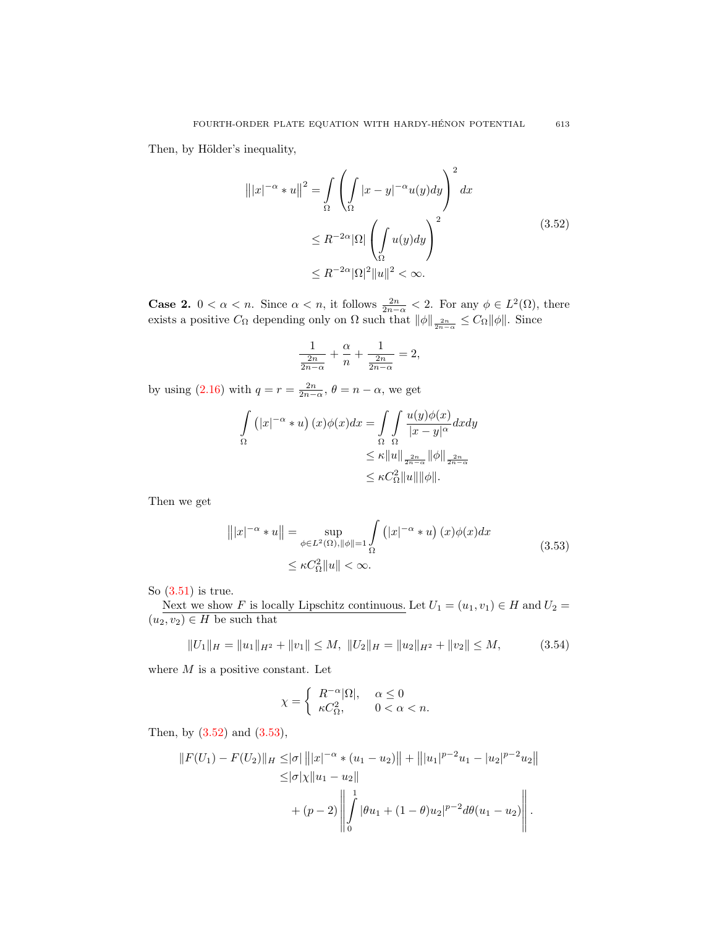<span id="page-14-0"></span>Then, by Hölder's inequality,

$$
\left\| |x|^{-\alpha} * u \right\|^2 = \int_{\Omega} \left( \int_{\Omega} |x - y|^{-\alpha} u(y) dy \right)^2 dx
$$
  

$$
\leq R^{-2\alpha} |\Omega| \left( \int_{\Omega} u(y) dy \right)^2
$$
  

$$
\leq R^{-2\alpha} |\Omega|^2 \|u\|^2 < \infty.
$$
 (3.52)

**Case 2.**  $0 < \alpha < n$ . Since  $\alpha < n$ , it follows  $\frac{2n}{2n-\alpha} < 2$ . For any  $\phi \in L^2(\Omega)$ , there exists a positive  $C_{\Omega}$  depending only on  $\Omega$  such that  $\|\phi\|_{\frac{2n}{2n-\alpha}} \leq C_{\Omega} \|\phi\|$ . Since

$$
\frac{1}{\frac{2n}{2n-\alpha}} + \frac{\alpha}{n} + \frac{1}{\frac{2n}{2n-\alpha}} = 2,
$$

by using [\(2.16\)](#page-5-2) with  $q = r = \frac{2n}{2n-\alpha}$ ,  $\theta = n - \alpha$ , we get

$$
\int_{\Omega} (|x|^{-\alpha} * u) (x) \phi(x) dx = \int_{\Omega} \int_{\Omega} \frac{u(y)\phi(x)}{|x - y|^{\alpha}} dx dy
$$
  

$$
\leq \kappa ||u||_{\frac{2n}{2n - \alpha}} ||\phi||_{\frac{2n}{2n - \alpha}}
$$
  

$$
\leq \kappa C_{\Omega}^{2} ||u|| ||\phi||.
$$

<span id="page-14-1"></span>Then we get

$$
|||x|^{-\alpha} * u|| = \sup_{\phi \in L^2(\Omega), ||\phi|| = 1} \int_{\Omega} (|x|^{-\alpha} * u) (x) \phi(x) dx
$$
  
 
$$
\leq \kappa C_{\Omega}^2 ||u|| < \infty.
$$
 (3.53)

So [\(3.51\)](#page-13-0) is true.

Next we show F is locally Lipschitz continuous. Let  $U_1 = (u_1, v_1) \in H$  and  $U_2 =$  $(u_2, v_2) \in H$  be such that

<span id="page-14-2"></span>
$$
||U_1||_H = ||u_1||_{H^2} + ||v_1|| \le M, \ ||U_2||_H = ||u_2||_{H^2} + ||v_2|| \le M,
$$
\n(3.54)

where  $M$  is a positive constant. Let

$$
\chi = \begin{cases} R^{-\alpha} |\Omega|, & \alpha \le 0 \\ \kappa C_{\Omega}^2, & 0 < \alpha < n. \end{cases}
$$

Then, by [\(3.52\)](#page-14-0) and [\(3.53\)](#page-14-1),

$$
||F(U_1) - F(U_2)||_H \le |\sigma| |||x|^{-\alpha} * (u_1 - u_2)|| + |||u_1|^{p-2}u_1 - |u_2|^{p-2}u_2||
$$
  

$$
\le |\sigma|\chi||u_1 - u_2||
$$
  

$$
+ (p-2) \left|| \int_0^1 |\theta u_1 + (1-\theta)u_2|^{p-2} d\theta (u_1 - u_2) \right||.
$$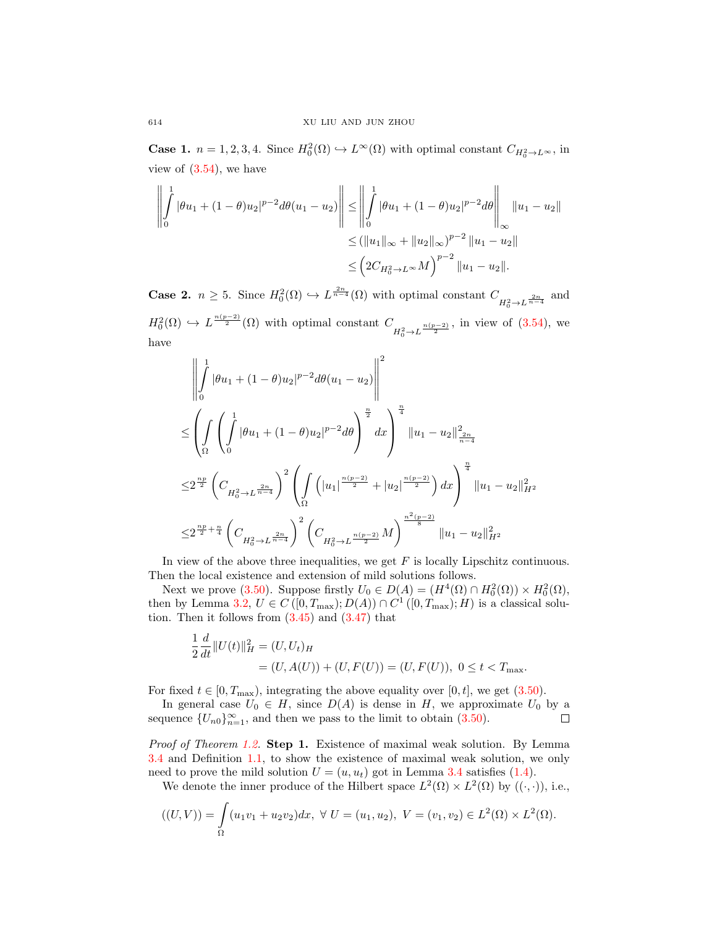**Case 1.**  $n = 1, 2, 3, 4$ . Since  $H_0^2(\Omega) \hookrightarrow L^{\infty}(\Omega)$  with optimal constant  $C_{H_0^2 \to L^{\infty}}$ , in view of [\(3.54\)](#page-14-2), we have

$$
\left\| \int_{0}^{1} |\theta u_{1} + (1 - \theta)u_{2}|^{p-2} d\theta (u_{1} - u_{2}) \right\| \leq \left\| \int_{0}^{1} |\theta u_{1} + (1 - \theta)u_{2}|^{p-2} d\theta \right\|_{\infty} \|u_{1} - u_{2}\|
$$
  

$$
\leq (\|u_{1}\|_{\infty} + \|u_{2}\|_{\infty})^{p-2} \|u_{1} - u_{2}\|
$$
  

$$
\leq (2C_{H_{0}^{2} \to L^{\infty}} M)^{p-2} \|u_{1} - u_{2}\|.
$$

**Case 2.**  $n \geq 5$ . Since  $H_0^2(\Omega) \hookrightarrow L^{\frac{2n}{n-4}}(\Omega)$  with optimal constant  $C_{H_0^2 \to L^{\frac{2n}{n-4}}}$  and  $H_0^2(\Omega) \hookrightarrow L^{\frac{n(p-2)}{2}}(\Omega)$  with optimal constant  $C_{H_0^2 \to L^{\frac{n(p-2)}{2}}}$ , in view of [\(3.54\)](#page-14-2), we have

$$
\begin{split} &\left\|\int\limits_{0}^{1}|\theta u_{1}+(1-\theta)u_{2}|^{p-2}d\theta(u_{1}-u_{2})\right\|^{2} \\ &\leq \left(\int\limits_{\Omega}\left(\int\limits_{0}^{1}|\theta u_{1}+(1-\theta)u_{2}|^{p-2}d\theta\right)^{\frac{n}{2}}dx\right)^{\frac{n}{4}}\|u_{1}-u_{2}\|_{\frac{2n}{n-4}}^{2} \\ &\leq 2^{\frac{np}{2}}\left(C_{H_{0}^{2}\rightarrow L^{\frac{2n}{n-4}}}\right)^{2}\left(\int\limits_{\Omega}\left(\left|u_{1}\right|^{\frac{n(p-2)}{2}}+\left|u_{2}\right|^{\frac{n(p-2)}{2}}\right)dx\right)^{\frac{n}{4}}\|u_{1}-u_{2}\|_{H^{2}}^{2} \\ &\leq 2^{\frac{np}{2}+\frac{n}{4}}\left(C_{H_{0}^{2}\rightarrow L^{\frac{2n}{n-4}}}\right)^{2}\left(C_{H_{0}^{2}\rightarrow L^{\frac{n(p-2)}{2}}}M\right)^{\frac{n^{2}(p-2)}{8}}\|u_{1}-u_{2}\|_{H^{2}}^{2} \end{split}
$$

In view of the above three inequalities, we get  $F$  is locally Lipschitz continuous. Then the local existence and extension of mild solutions follows.

Next we prove [\(3.50\)](#page-13-1). Suppose firstly  $U_0 \in D(A) = (H^4(\Omega) \cap H_0^2(\Omega)) \times H_0^2(\Omega)$ , then by Lemma [3.2,](#page-11-2)  $U \in C([0, T_{\text{max}}); D(A)) \cap C^1([0, T_{\text{max}}); H)$  is a classical solution. Then it follows from  $(3.45)$  and  $(3.47)$  that

$$
\frac{1}{2} \frac{d}{dt} ||U(t)||_H^2 = (U, U_t)_H
$$
  
= (U, A(U)) + (U, F(U)) = (U, F(U)), 0 \le t < T\_{\text{max}}.

For fixed  $t \in [0, T_{\text{max}})$ , integrating the above equality over [0, t], we get [\(3.50\)](#page-13-1).

In general case  $U_0 \in H$ , since  $D(A)$  is dense in H, we approximate  $U_0$  by a sequence  ${U_{n0}}_{n=1}^{\infty}$ , and then we pass to the limit to obtain [\(3.50\)](#page-13-1). п

Proof of Theorem [1.2.](#page-2-0) Step 1. Existence of maximal weak solution. By Lemma [3.4](#page-13-2) and Definition [1.1,](#page-1-0) to show the existence of maximal weak solution, we only need to prove the mild solution  $U = (u, u_t)$  got in Lemma [3.4](#page-13-2) satisfies [\(1.4\)](#page-1-1).

We denote the inner produce of the Hilbert space  $L^2(\Omega) \times L^2(\Omega)$  by  $((\cdot, \cdot))$ , i.e.,

$$
((U,V)) = \int_{\Omega} (u_1v_1 + u_2v_2)dx, \ \forall \ U = (u_1, u_2), \ V = (v_1, v_2) \in L^2(\Omega) \times L^2(\Omega).
$$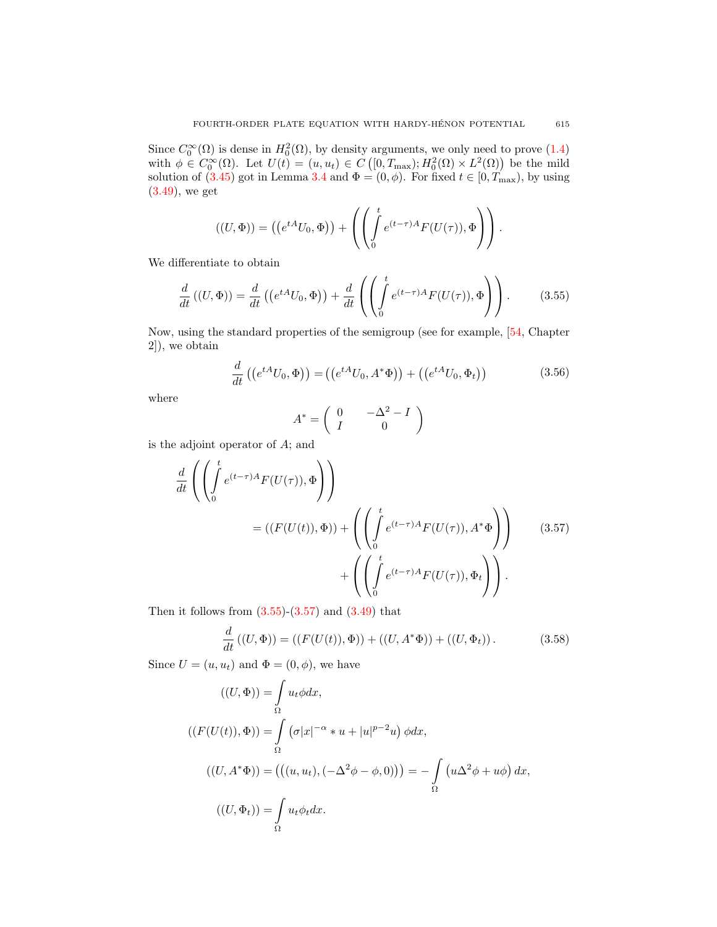Since  $C_0^{\infty}(\Omega)$  is dense in  $H_0^2(\Omega)$ , by density arguments, we only need to prove [\(1.4\)](#page-1-1) with  $\phi \in C_0^{\infty}(\Omega)$ . Let  $U(t) = (u, u_t) \in C([0, T_{\text{max}}); H_0^2(\Omega) \times L^2(\Omega))$  be the mild solution of [\(3.45\)](#page-12-1) got in Lemma [3.4](#page-13-2) and  $\Phi = (0, \phi)$ . For fixed  $t \in [0, T_{\text{max}})$ , by using [\(3.49\)](#page-13-3), we get

$$
((U, \Phi)) = ((e^{tA}U_0, \Phi)) + \left( \left( \int_0^t e^{(t-\tau)A} F(U(\tau)), \Phi \right) \right).
$$

<span id="page-16-0"></span>We differentiate to obtain

$$
\frac{d}{dt}\left((U,\Phi)\right) = \frac{d}{dt}\left(\left(e^{tA}U_0,\Phi\right)\right) + \frac{d}{dt}\left(\left(\int_0^t e^{(t-\tau)A}F(U(\tau)),\Phi\right)\right). \tag{3.55}
$$

Now, using the standard properties of the semigroup (see for example, [\[54,](#page-26-2) Chapter 2]), we obtain

$$
\frac{d}{dt}\left((e^{tA}U_0, \Phi)\right) = \left((e^{tA}U_0, A^*\Phi)\right) + \left((e^{tA}U_0, \Phi_t)\right) \tag{3.56}
$$

where

$$
A^* = \left(\begin{array}{cc} 0 & -\Delta^2 - I \\ I & 0 \end{array}\right)
$$

is the adjoint operator of A; and

<span id="page-16-1"></span>
$$
\frac{d}{dt} \left( \left( \int_0^t e^{(t-\tau)A} F(U(\tau)), \Phi \right) \right)
$$
\n
$$
= ((F(U(t)), \Phi)) + \left( \left( \int_0^t e^{(t-\tau)A} F(U(\tau)), A^* \Phi \right) \right) \qquad (3.57)
$$
\n
$$
+ \left( \left( \int_0^t e^{(t-\tau)A} F(U(\tau)), \Phi_t \right) \right).
$$

Then it follows from  $(3.55)-(3.57)$  $(3.55)-(3.57)$  and  $(3.49)$  that

<span id="page-16-2"></span>
$$
\frac{d}{dt}\left((U,\Phi)\right) = \left((F(U(t)),\Phi)\right) + \left((U,A^*\Phi)\right) + \left((U,\Phi_t)\right). \tag{3.58}
$$

Since  $U = (u, u_t)$  and  $\Phi = (0, \phi)$ , we have

$$
((U, \Phi)) = \int_{\Omega} u_t \phi dx,
$$
  
\n
$$
((F(U(t)), \Phi)) = \int_{\Omega} (\sigma |x|^{-\alpha} * u + |u|^{p-2}u) \phi dx,
$$
  
\n
$$
((U, A^*\Phi)) = (((u, u_t), (-\Delta^2 \phi - \phi, 0))) = -\int_{\Omega} (u \Delta^2 \phi + u\phi) dx,
$$
  
\n
$$
((U, \Phi_t)) = \int_{\Omega} u_t \phi_t dx.
$$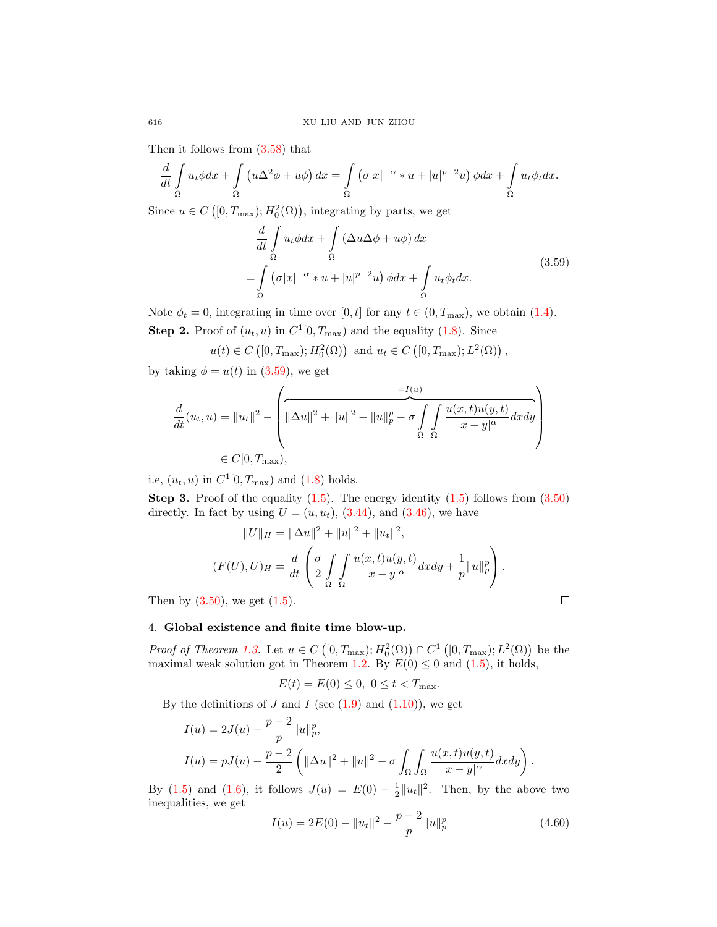Then it follows from [\(3.58\)](#page-16-2) that

$$
\frac{d}{dt} \int_{\Omega} u_t \phi dx + \int_{\Omega} \left( u \Delta^2 \phi + u \phi \right) dx = \int_{\Omega} \left( \sigma |x|^{-\alpha} * u + |u|^{p-2} u \right) \phi dx + \int_{\Omega} u_t \phi_t dx.
$$

<span id="page-17-0"></span>Since  $u \in C([0, T_{\max}); H_0^2(\Omega))$ , integrating by parts, we get

$$
\frac{d}{dt} \int_{\Omega} u_t \phi dx + \int_{\Omega} (\Delta u \Delta \phi + u \phi) dx
$$
\n
$$
= \int_{\Omega} (\sigma |x|^{-\alpha} * u + |u|^{p-2} u) \phi dx + \int_{\Omega} u_t \phi_t dx.
$$
\n(3.59)

Note  $\phi_t = 0$ , integrating in time over [0, t] for any  $t \in (0, T_{\text{max}})$ , we obtain [\(1.4\)](#page-1-1). **Step 2.** Proof of  $(u_t, u)$  in  $C^1[0, T_{\text{max}})$  and the equality [\(1.8\)](#page-2-7). Since

$$
u(t) \in C([0, T_{\max}); H_0^2(\Omega))
$$
 and  $u_t \in C([0, T_{\max}); L^2(\Omega))$ ,

by taking  $\phi = u(t)$  in [\(3.59\)](#page-17-0), we get

$$
\frac{d}{dt}(u_t, u) = ||u_t||^2 - \left(\frac{-I(u)}{||\Delta u||^2 + ||u||^2 - ||u||_p^p - \sigma} \int_{\Omega} \int_{\Omega} \frac{u(x, t)u(y, t)}{|x - y|^{\alpha}} dx dy\right) \leq C[0, T_{\text{max}}),
$$

i.e,  $(u_t, u)$  in  $C^1[0, T_{\text{max}})$  and  $(1.8)$  holds.

**Step 3.** Proof of the equality  $(1.5)$ . The energy identity  $(1.5)$  follows from  $(3.50)$ directly. In fact by using  $U = (u, u_t)$ , [\(3.44\)](#page-12-0), and [\(3.46\)](#page-12-4), we have

$$
||U||_H = ||\Delta u||^2 + ||u||^2 + ||u_t||^2,
$$
  
\n
$$
(F(U), U)_H = \frac{d}{dt} \left( \frac{\sigma}{2} \int \int \frac{u(x, t)u(y, t)}{|x - y|^{\alpha}} dx dy + \frac{1}{p} ||u||_p^p \right).
$$
  
\n50), we get (1.5).

Then by  $(3.50)$ , we get  $(1.5)$ .

4. Global existence and finite time blow-up.

Proof of Theorem [1.3.](#page-2-1) Let  $u \in C([0,T_{\max}); H_0^2(\Omega)) \cap C^1([0,T_{\max}); L^2(\Omega))$  be the maximal weak solution got in Theorem [1.2.](#page-2-0) By  $E(0) \leq 0$  and  $(1.5)$ , it holds,

$$
E(t) = E(0) \le 0, \ 0 \le t < T_{\text{max}}.
$$

By the definitions of  $J$  and  $I$  (see  $(1.9)$  and  $(1.10)$ ), we get

$$
I(u) = 2J(u) - \frac{p-2}{p} ||u||_p^p,
$$
  
\n
$$
I(u) = pJ(u) - \frac{p-2}{2} (||\Delta u||^2 + ||u||^2 - \sigma \int_{\Omega} \int_{\Omega} \frac{u(x,t)u(y,t)}{|x-y|^{\alpha}} dx dy ).
$$

By [\(1.5\)](#page-2-6) and [\(1.6\)](#page-2-5), it follows  $J(u) = E(0) - \frac{1}{2} ||u_t||^2$ . Then, by the above two inequalities, we get

<span id="page-17-1"></span>
$$
I(u) = 2E(0) - ||u_t||^2 - \frac{p-2}{p} ||u||_p^p
$$
\n(4.60)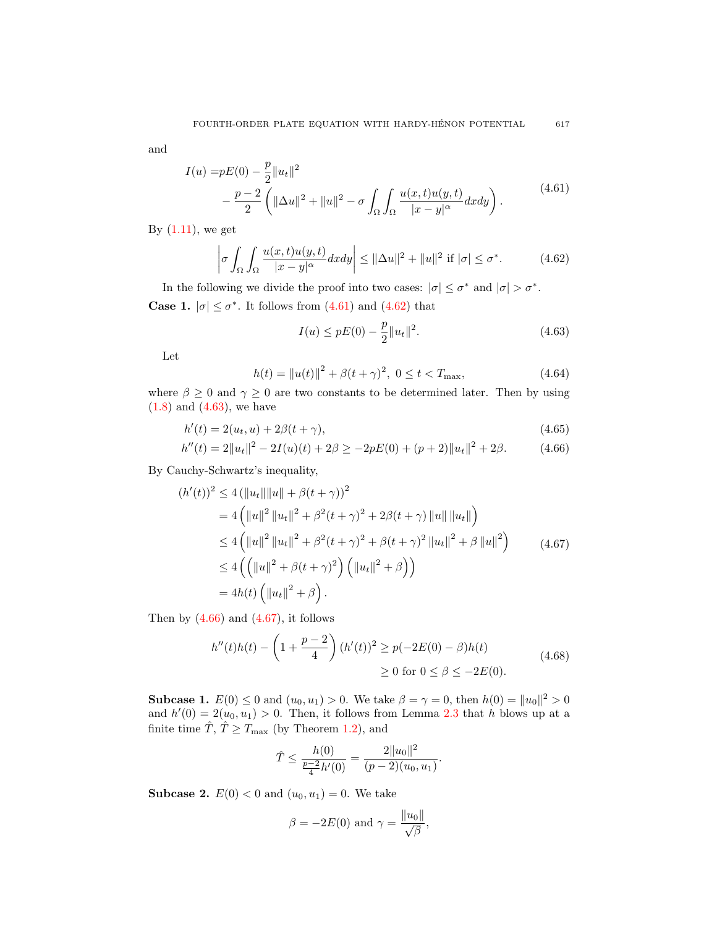<span id="page-18-0"></span>and

$$
I(u) = pE(0) - \frac{p}{2} ||u_t||^2
$$
  
 
$$
- \frac{p-2}{2} \left( ||\Delta u||^2 + ||u||^2 - \sigma \int_{\Omega} \int_{\Omega} \frac{u(x,t)u(y,t)}{|x-y|^{\alpha}} dx dy \right).
$$
 (4.61)

By  $(1.11)$ , we get

<span id="page-18-1"></span>
$$
\left| \sigma \int_{\Omega} \int_{\Omega} \frac{u(x,t)u(y,t)}{|x-y|^{\alpha}} dx dy \right| \leq ||\Delta u||^2 + ||u||^2 \text{ if } |\sigma| \leq \sigma^*.
$$
 (4.62)

In the following we divide the proof into two cases:  $|\sigma| \leq \sigma^*$  and  $|\sigma| > \sigma^*$ . **Case 1.**  $|\sigma| \leq \sigma^*$ . It follows from [\(4.61\)](#page-18-0) and [\(4.62\)](#page-18-1) that

<span id="page-18-3"></span><span id="page-18-2"></span>
$$
I(u) \le pE(0) - \frac{p}{2} ||u_t||^2.
$$
\n(4.63)

Let

<span id="page-18-5"></span>
$$
h(t) = ||u(t)||^2 + \beta (t + \gamma)^2, \ 0 \le t < T_{\text{max}}, \tag{4.64}
$$

where  $\beta \geq 0$  and  $\gamma \geq 0$  are two constants to be determined later. Then by using  $(1.8)$  and  $(4.63)$ , we have

$$
h'(t) = 2(u_t, u) + 2\beta(t + \gamma), \tag{4.65}
$$

$$
h''(t) = 2||u_t||^2 - 2I(u)(t) + 2\beta \ge -2pE(0) + (p+2)||u_t||^2 + 2\beta.
$$
 (4.66)

By Cauchy-Schwartz's inequality,

<span id="page-18-4"></span>
$$
(h'(t))^2 \le 4 (\|u_t\| \|u\| + \beta(t+\gamma))^2
$$
  
= 4  $(\|u\|^2 \|u_t\|^2 + \beta^2(t+\gamma)^2 + 2\beta(t+\gamma) \|u\| \|u_t\|)$   
 $\le 4 (\|u\|^2 \|u_t\|^2 + \beta^2(t+\gamma)^2 + \beta(t+\gamma)^2 \|u_t\|^2 + \beta \|u\|^2)$   
 $\le 4 ((\|u\|^2 + \beta(t+\gamma)^2) (\|u_t\|^2 + \beta))$   
= 4h(t)  $(\|u_t\|^2 + \beta).$  (4.67)

Then by  $(4.66)$  and  $(4.67)$ , it follows

$$
h''(t)h(t) - \left(1 + \frac{p-2}{4}\right)(h'(t))^2 \ge p(-2E(0) - \beta)h(t)
$$
  
  $\ge 0 \text{ for } 0 \le \beta \le -2E(0).$  (4.68)

**Subcase 1.**  $E(0) \le 0$  and  $(u_0, u_1) > 0$ . We take  $\beta = \gamma = 0$ , then  $h(0) = ||u_0||^2 > 0$ and  $h'(0) = 2(u_0, u_1) > 0$ . Then, it follows from Lemma [2.3](#page-5-3) that h blows up at a finite time  $\hat{T}$ ,  $\hat{T} \geq T_{\text{max}}$  (by Theorem [1.2\)](#page-2-0), and

$$
\hat{T} \le \frac{h(0)}{\frac{p-2}{4}h'(0)} = \frac{2||u_0||^2}{(p-2)(u_0, u_1)}.
$$

**Subcase 2.**  $E(0) < 0$  and  $(u_0, u_1) = 0$ . We take

$$
\beta = -2E(0) \text{ and } \gamma = \frac{\|u_0\|}{\sqrt{\beta}},
$$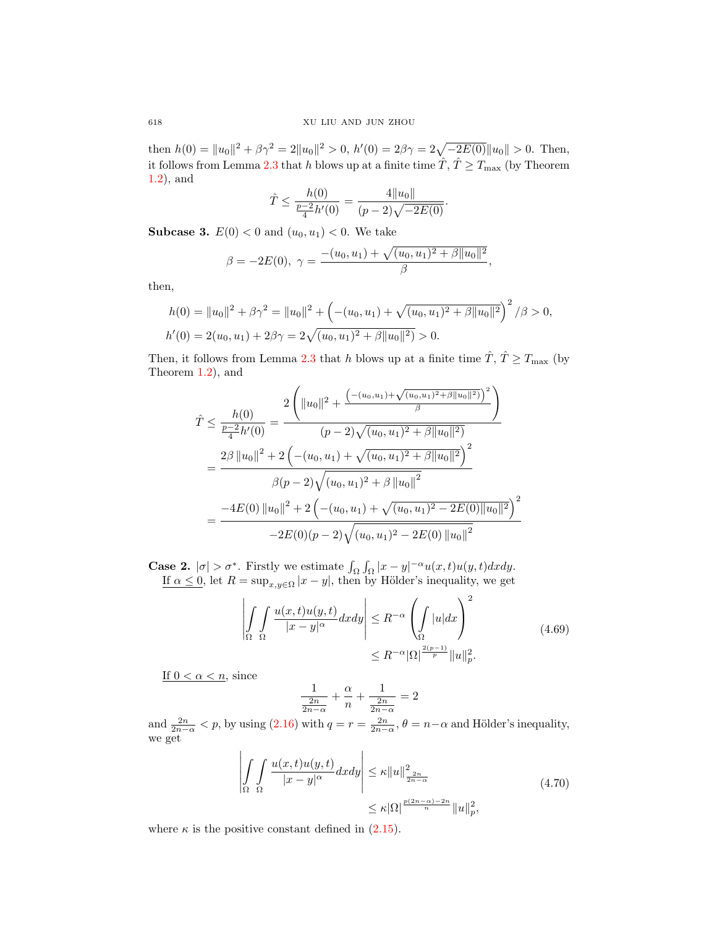then  $h(0) = ||u_0||^2 + \beta \gamma^2 = 2||u_0||^2 > 0$ ,  $h'(0) = 2\beta\gamma = 2\sqrt{-2E(0)}||u_0|| > 0$ . Then, it follows from Lemma [2.3](#page-5-3) that h blows up at a finite time  $\hat{T}$ ,  $\hat{T} \geq T_{\text{max}}$  (by Theorem [1.2\)](#page-2-0), and

$$
\hat{T} \le \frac{h(0)}{\frac{p-2}{4}h'(0)} = \frac{4||u_0||}{(p-2)\sqrt{-2E(0)}}.
$$

**Subcase 3.**  $E(0) < 0$  and  $(u_0, u_1) < 0$ . We take

$$
\beta = -2E(0), \ \gamma = \frac{-(u_0, u_1) + \sqrt{(u_0, u_1)^2 + \beta ||u_0||^2}}{\beta},
$$

then,

$$
h(0) = ||u_0||^2 + \beta \gamma^2 = ||u_0||^2 + \left( -(u_0, u_1) + \sqrt{(u_0, u_1)^2 + \beta ||u_0||^2} \right)^2 / \beta > 0,
$$
  
\n
$$
h'(0) = 2(u_0, u_1) + 2\beta \gamma = 2\sqrt{(u_0, u_1)^2 + \beta ||u_0||^2} > 0.
$$

Then, it follows from Lemma [2.3](#page-5-3) that h blows up at a finite time  $\hat{T}$ ,  $\hat{T} \geq T_{\text{max}}$  (by Theorem [1.2\)](#page-2-0), and

$$
\hat{T} \leq \frac{h(0)}{\frac{p-2}{4}h'(0)} = \frac{2\left(\|u_0\|^2 + \frac{\left(-(u_0, u_1) + \sqrt{(u_0, u_1)^2 + \beta \|u_0\|^2}\right)\right)^2}{(p-2)\sqrt{(u_0, u_1)^2 + \beta \|u_0\|^2)}}}{(p-2)\sqrt{(u_0, u_1)^2 + \beta \|u_0\|^2}}
$$
\n
$$
= \frac{2\beta \left\|u_0\right\|^2 + 2\left(-(u_0, u_1) + \sqrt{(u_0, u_1)^2 + \beta \|u_0\|^2}\right)^2}{\beta(p-2)\sqrt{(u_0, u_1)^2 + \beta \|u_0\|^2}}
$$
\n
$$
= \frac{-4E(0) \left\|u_0\right\|^2 + 2\left(-(u_0, u_1) + \sqrt{(u_0, u_1)^2 - 2E(0) \|u_0\|^2}\right)^2}{-2E(0)(p-2)\sqrt{(u_0, u_1)^2 - 2E(0) \|u_0\|^2}}
$$

**Case 2.**  $|\sigma| > \sigma^*$ . Firstly we estimate  $\int_{\Omega} \int_{\Omega} |x - y|^{-\alpha} u(x, t) u(y, t) dx dy$ . If  $\alpha \leq 0$ , let  $R = \sup_{x,y \in \Omega} |x - y|$ , then by Hölder's inequality, we get

$$
\left| \int_{\Omega} \int_{\Omega} \frac{u(x,t)u(y,t)}{|x-y|^{\alpha}} dx dy \right| \leq R^{-\alpha} \left( \int_{\Omega} |u| dx \right)^2
$$
\n
$$
\leq R^{-\alpha} |\Omega|^{\frac{2(p-1)}{p}} \|u\|_p^2.
$$
\n(4.69)

<span id="page-19-0"></span>If  $0 < \alpha < n$ , since

$$
\frac{1}{\frac{2n}{2n-\alpha}} + \frac{\alpha}{n} + \frac{1}{\frac{2n}{2n-\alpha}} = 2
$$

and  $\frac{2n}{2n-\alpha} < p$ , by using  $(2.16)$  with  $q = r = \frac{2n}{2n-\alpha}$ ,  $\theta = n-\alpha$  and Hölder's inequality, we get

$$
\left| \int_{\Omega} \int_{\Omega} \frac{u(x,t)u(y,t)}{|x-y|^{\alpha}} dx dy \right| \leq \kappa ||u||_{\frac{2n}{2n-\alpha}}^2
$$
\n
$$
\leq \kappa |\Omega|^{\frac{p(2n-\alpha)-2n}{n}} ||u||_p^2,
$$
\n(4.70)

<span id="page-19-1"></span>where  $\kappa$  is the positive constant defined in [\(2.15\)](#page-5-1).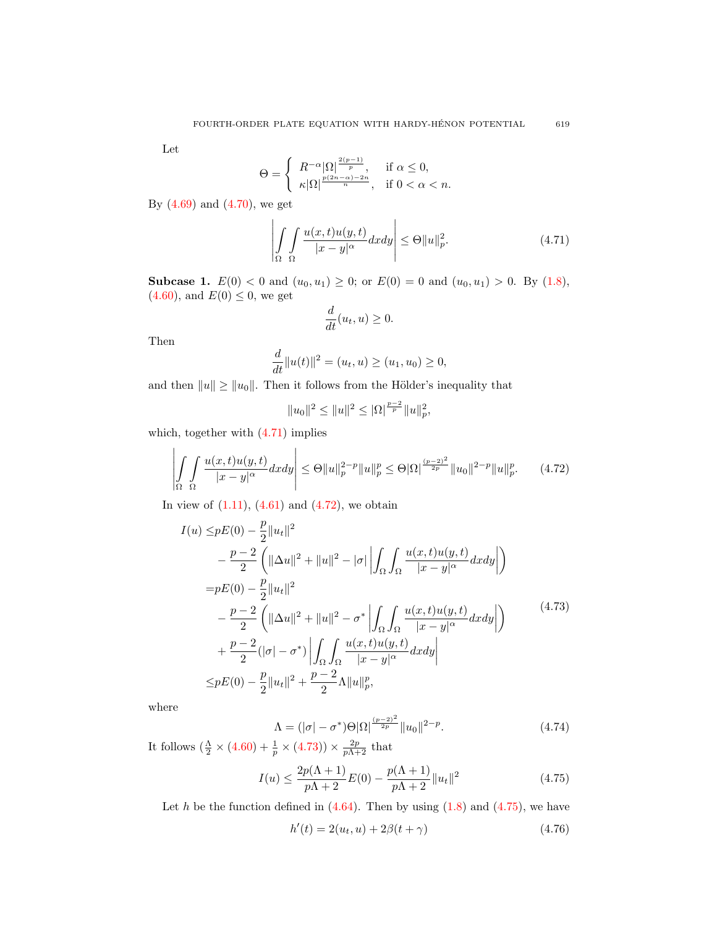Let

$$
\Theta = \begin{cases} R^{-\alpha} |\Omega|^{\frac{2(p-1)}{p}}, & \text{if } \alpha \leq 0, \\ \kappa |\Omega|^{\frac{p(2n-\alpha)-2n}{n}}, & \text{if } 0 < \alpha < n. \end{cases}
$$

By [\(4.69\)](#page-19-0) and [\(4.70\)](#page-19-1), we get

<span id="page-20-0"></span>
$$
\left| \int_{\Omega} \int_{\Omega} \frac{u(x,t)u(y,t)}{|x-y|^{\alpha}} dx dy \right| \leq \Theta \|u\|_{p}^{2}.
$$
 (4.71)

**Subcase 1.**  $E(0) < 0$  and  $(u_0, u_1) \ge 0$ ; or  $E(0) = 0$  and  $(u_0, u_1) > 0$ . By [\(1.8\)](#page-2-7),  $(4.60)$ , and  $E(0) \le 0$ , we get

$$
\frac{d}{dt}(u_t, u) \ge 0.
$$

Then

$$
\frac{d}{dt}||u(t)||^2 = (u_t, u) \ge (u_1, u_0) \ge 0,
$$

and then  $||u|| \ge ||u_0||$ . Then it follows from the Hölder's inequality that

$$
||u_0||^2 \le ||u||^2 \le |\Omega|^{\frac{p-2}{p}} ||u||_p^2,
$$

which, together with [\(4.71\)](#page-20-0) implies

<span id="page-20-1"></span>
$$
\left| \int_{\Omega} \int_{\Omega} \frac{u(x,t)u(y,t)}{|x-y|^{\alpha}} dx dy \right| \leq \Theta \|u\|_{p}^{2-p} \|u\|_{p}^{p} \leq \Theta |\Omega|^{\frac{(p-2)^{2}}{2p}} \|u_{0}\|^{2-p} \|u\|_{p}^{p}.
$$
 (4.72)

In view of  $(1.11)$ ,  $(4.61)$  and  $(4.72)$ , we obtain

<span id="page-20-2"></span>
$$
I(u) \leq pE(0) - \frac{p}{2} ||u_t||^2
$$
  
\n
$$
- \frac{p-2}{2} \left( ||\Delta u||^2 + ||u||^2 - |\sigma|| \left| \int_{\Omega} \int_{\Omega} \frac{u(x,t)u(y,t)}{|x-y|^{\alpha}} dx dy \right| \right)
$$
  
\n
$$
= pE(0) - \frac{p}{2} ||u_t||^2
$$
  
\n
$$
- \frac{p-2}{2} \left( ||\Delta u||^2 + ||u||^2 - \sigma^* \left| \int_{\Omega} \int_{\Omega} \frac{u(x,t)u(y,t)}{|x-y|^{\alpha}} dx dy \right| \right)
$$
  
\n
$$
+ \frac{p-2}{2} (|\sigma| - \sigma^*) \left| \int_{\Omega} \int_{\Omega} \frac{u(x,t)u(y,t)}{|x-y|^{\alpha}} dx dy \right|
$$
  
\n
$$
\leq pE(0) - \frac{p}{2} ||u_t||^2 + \frac{p-2}{2} \Lambda ||u||_p^p,
$$
\n
$$
(4.73)
$$

where

$$
\Lambda = (|\sigma| - \sigma^*)\Theta |\Omega|^{\frac{(p-2)^2}{2p}} \|u_0\|^{2-p}.
$$
\n(4.74)

It follows  $\left(\frac{\Lambda}{2} \times (4.60) + \frac{1}{p} \times (4.73)\right) \times \frac{2p}{p\Lambda+2}$  $\left(\frac{\Lambda}{2} \times (4.60) + \frac{1}{p} \times (4.73)\right) \times \frac{2p}{p\Lambda+2}$  $\left(\frac{\Lambda}{2} \times (4.60) + \frac{1}{p} \times (4.73)\right) \times \frac{2p}{p\Lambda+2}$  $\left(\frac{\Lambda}{2} \times (4.60) + \frac{1}{p} \times (4.73)\right) \times \frac{2p}{p\Lambda+2}$  $\left(\frac{\Lambda}{2} \times (4.60) + \frac{1}{p} \times (4.73)\right) \times \frac{2p}{p\Lambda+2}$  that

<span id="page-20-3"></span>
$$
I(u) \le \frac{2p(\Lambda + 1)}{p\Lambda + 2}E(0) - \frac{p(\Lambda + 1)}{p\Lambda + 2}||u_t||^2
$$
\n(4.75)

Let  $h$  be the function defined in  $(4.64)$ . Then by using  $(1.8)$  and  $(4.75)$ , we have

$$
h'(t) = 2(u_t, u) + 2\beta(t + \gamma)
$$
\n(4.76)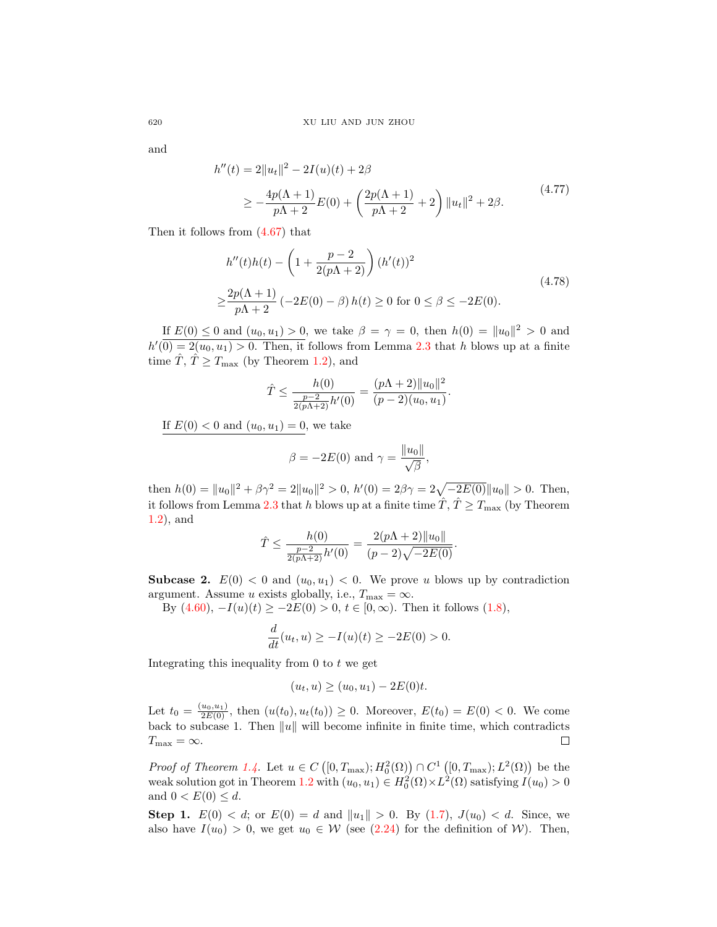and

$$
h''(t) = 2||u_t||^2 - 2I(u)(t) + 2\beta
$$
  
\n
$$
\ge -\frac{4p(\Lambda + 1)}{p\Lambda + 2}E(0) + \left(\frac{2p(\Lambda + 1)}{p\Lambda + 2} + 2\right)||u_t||^2 + 2\beta.
$$
\n(4.77)

Then it follows from [\(4.67\)](#page-18-4) that

$$
h''(t)h(t) - \left(1 + \frac{p-2}{2(p\Lambda + 2)}\right)(h'(t))^2
$$
  

$$
\geq \frac{2p(\Lambda + 1)}{p\Lambda + 2} \left(-2E(0) - \beta\right)h(t) \geq 0 \text{ for } 0 \leq \beta \leq -2E(0).
$$
 (4.78)

If  $E(0) \le 0$  and  $(u_0, u_1) > 0$ , we take  $\beta = \gamma = 0$ , then  $h(0) = ||u_0||^2 > 0$  and  $h'(\overline{0}) = 2(u_0, u_1) > 0$ . Then, it follows from Lemma [2.3](#page-5-3) that h blows up at a finite time  $\overline{T}$ ,  $\overline{T} \geq T_{\text{max}}$  (by Theorem [1.2\)](#page-2-0), and

$$
\hat{T} \le \frac{h(0)}{\frac{p-2}{2(p\Lambda+2)}h'(0)} = \frac{(p\Lambda+2)\|u_0\|^2}{(p-2)(u_0, u_1)}.
$$

If  $E(0) < 0$  and  $(u_0, u_1) = 0$ , we take

$$
\beta = -2E(0) \text{ and } \gamma = \frac{\|u_0\|}{\sqrt{\beta}},
$$

then  $h(0) = ||u_0||^2 + \beta \gamma^2 = 2||u_0||^2 > 0$ ,  $h'(0) = 2\beta\gamma = 2\sqrt{-2E(0)}||u_0|| > 0$ . Then, it follows from Lemma [2.3](#page-5-3) that h blows up at a finite time  $\hat{T}$ ,  $\hat{T} \geq T_{\text{max}}$  (by Theorem [1.2\)](#page-2-0), and

$$
\hat{T} \le \frac{h(0)}{\frac{p-2}{2(p\Lambda+2)}h'(0)} = \frac{2(p\Lambda+2)\|u_0\|}{(p-2)\sqrt{-2E(0)}}.
$$

**Subcase 2.**  $E(0) < 0$  and  $(u_0, u_1) < 0$ . We prove u blows up by contradiction argument. Assume u exists globally, i.e.,  $T_{\text{max}} = \infty$ .

By  $(4.60)$ ,  $-I(u)(t) ≥ -2E(0) > 0$ ,  $t ∈ [0, ∞)$ . Then it follows  $(1.8)$ ,

$$
\frac{d}{dt}(u_t, u) \ge -I(u)(t) \ge -2E(0) > 0.
$$

Integrating this inequality from  $0$  to  $t$  we get

$$
(u_t, u) \ge (u_0, u_1) - 2E(0)t.
$$

Let  $t_0 = \frac{(u_0, u_1)}{2E(0)}$ , then  $(u(t_0), u_t(t_0)) \geq 0$ . Moreover,  $E(t_0) = E(0) < 0$ . We come back to subcase 1. Then  $||u||$  will become infinite in finite time, which contradicts  $\Box$  $T_{\text{max}} = \infty.$ 

Proof of Theorem [1.4.](#page-4-0) Let  $u \in C([0,T_{\max}); H_0^2(\Omega)) \cap C^1([0,T_{\max}); L^2(\Omega))$  be the weak solution got in Theorem [1.2](#page-2-0) with  $(u_0, u_1) \in H_0^2(\Omega) \times L^2(\Omega)$  satisfying  $I(u_0) > 0$ and  $0 < E(0) \leq d$ .

**Step 1.**  $E(0) < d$ ; or  $E(0) = d$  and  $||u_1|| > 0$ . By  $(1.7)$ ,  $J(u_0) < d$ . Since, we also have  $I(u_0) > 0$ , we get  $u_0 \in W$  (see [\(2.24\)](#page-7-4) for the definition of W). Then,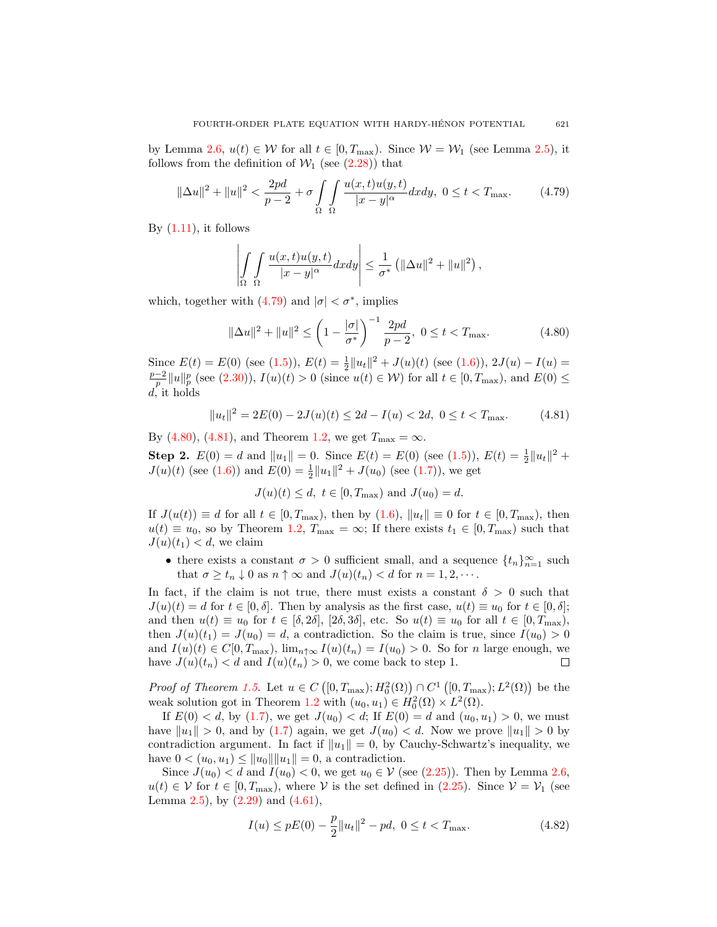by Lemma [2.6,](#page-9-3)  $u(t) \in W$  for all  $t \in [0, T_{\text{max}})$ . Since  $W = W_1$  (see Lemma [2.5\)](#page-7-7), it follows from the definition of  $W_1$  (see [\(2.28\)](#page-7-3)) that

<span id="page-22-0"></span>
$$
\|\Delta u\|^2 + \|u\|^2 < \frac{2pd}{p-2} + \sigma \int_{\Omega} \int_{\Omega} \frac{u(x,t)u(y,t)}{|x-y|^{\alpha}} dx dy, \ 0 \le t < T_{\text{max}}.\tag{4.79}
$$

By  $(1.11)$ , it follows

$$
\left| \int_{\Omega} \int_{\Omega} \frac{u(x,t)u(y,t)}{|x-y|^{\alpha}} dx dy \right| \leq \frac{1}{\sigma^*} \left( \|\Delta u\|^2 + \|u\|^2 \right),
$$

which, together with  $(4.79)$  and  $|\sigma| < \sigma^*$ , implies

<span id="page-22-1"></span>
$$
\|\Delta u\|^2 + \|u\|^2 \le \left(1 - \frac{|\sigma|}{\sigma^*}\right)^{-1} \frac{2pd}{p-2}, \ 0 \le t < T_{\text{max}}.\tag{4.80}
$$

Since  $E(t) = E(0)$  (see [\(1.5\)](#page-2-6)),  $E(t) = \frac{1}{2} ||u_t||^2 + J(u)(t)$  (see [\(1.6\)](#page-2-5)),  $2J(u) - I(u) =$  $\frac{p-2}{p}||u||_p^p$  (see [\(2.30\)](#page-7-8)),  $I(u)(t) > 0$  (since  $u(t) \in W$ ) for all  $t \in [0, T_{\text{max}})$ , and  $E(0) ≤$  $d$ , it holds

<span id="page-22-2"></span>
$$
||u_t||^2 = 2E(0) - 2J(u)(t) \le 2d - I(u) < 2d, \ 0 \le t < T_{\text{max}}.\tag{4.81}
$$

By [\(4.80\)](#page-22-1), [\(4.81\)](#page-22-2), and Theorem [1.2,](#page-2-0) we get  $T_{\text{max}} = \infty$ .

**Step 2.**  $E(0) = d$  and  $||u_1|| = 0$ . Since  $E(t) = E(0)$  (see [\(1.5\)](#page-2-6)),  $E(t) = \frac{1}{2}||u_t||^2 +$  $J(u)(t)$  (see [\(1.6\)](#page-2-5)) and  $E(0) = \frac{1}{2} ||u_1||^2 + J(u_0)$  (see [\(1.7\)](#page-2-4)), we get

 $J(u)(t) \leq d, t \in [0, T_{\text{max}})$  and  $J(u_0) = d$ .

If  $J(u(t)) \equiv d$  for all  $t \in [0, T_{\text{max}})$ , then by  $(1.6)$ ,  $||u_t|| \equiv 0$  for  $t \in [0, T_{\text{max}})$ , then  $u(t) \equiv u_0$ , so by Theorem [1.2,](#page-2-0)  $T_{\text{max}} = \infty$ ; If there exists  $t_1 \in [0, T_{\text{max}})$  such that  $J(u)(t_1) < d$ , we claim

• there exists a constant  $\sigma > 0$  sufficient small, and a sequence  $\{t_n\}_{n=1}^{\infty}$  such that  $\sigma \geq t_n \downarrow 0$  as  $n \uparrow \infty$  and  $J(u)(t_n) < d$  for  $n = 1, 2, \cdots$ .

In fact, if the claim is not true, there must exists a constant  $\delta > 0$  such that  $J(u)(t) = d$  for  $t \in [0, \delta]$ . Then by analysis as the first case,  $u(t) \equiv u_0$  for  $t \in [0, \delta]$ ; and then  $u(t) \equiv u_0$  for  $t \in [\delta, 2\delta], [2\delta, 3\delta],$  etc. So  $u(t) \equiv u_0$  for all  $t \in [0, T_{\text{max}}),$ then  $J(u)(t_1) = J(u_0) = d$ , a contradiction. So the claim is true, since  $I(u_0) > 0$ and  $I(u)(t) \in C[0,T_{\max})$ ,  $\lim_{n \uparrow \infty} I(u)(t_n) = I(u_0) > 0$ . So for n large enough, we have  $J(u)(t_n) < d$  and  $I(u)(t_n) > 0$ , we come back to step 1.  $\Box$ 

Proof of Theorem [1.5.](#page-4-1) Let  $u \in C([0,T_{\max}); H_0^2(\Omega)) \cap C^1([0,T_{\max}); L^2(\Omega))$  be the weak solution got in Theorem [1.2](#page-2-0) with  $(u_0, u_1) \in H_0^2(\Omega) \times L^2(\Omega)$ .

If  $E(0) < d$ , by [\(1.7\)](#page-2-4), we get  $J(u_0) < d$ ; If  $E(0) = d$  and  $(u_0, u_1) > 0$ , we must have  $||u_1|| > 0$ , and by [\(1.7\)](#page-2-4) again, we get  $J(u_0) < d$ . Now we prove  $||u_1|| > 0$  by contradiction argument. In fact if  $||u_1|| = 0$ , by Cauchy-Schwartz's inequality, we have  $0 < (u_0, u_1) \le ||u_0|| ||u_1|| = 0$ , a contradiction.

Since  $J(u_0) < d$  and  $I(u_0) < 0$ , we get  $u_0 \in V$  (see [\(2.25\)](#page-7-5)). Then by Lemma [2.6,](#page-9-3)  $u(t) \in \mathcal{V}$  for  $t \in [0, T_{\text{max}})$ , where  $\mathcal{V}$  is the set defined in [\(2.25\)](#page-7-5). Since  $\mathcal{V} = \mathcal{V}_1$  (see Lemma [2.5\)](#page-7-7), by  $(2.29)$  and  $(4.61)$ ,

<span id="page-22-3"></span>
$$
I(u) \le pE(0) - \frac{p}{2} ||u_t||^2 - pd, \ 0 \le t < T_{\text{max}}.\tag{4.82}
$$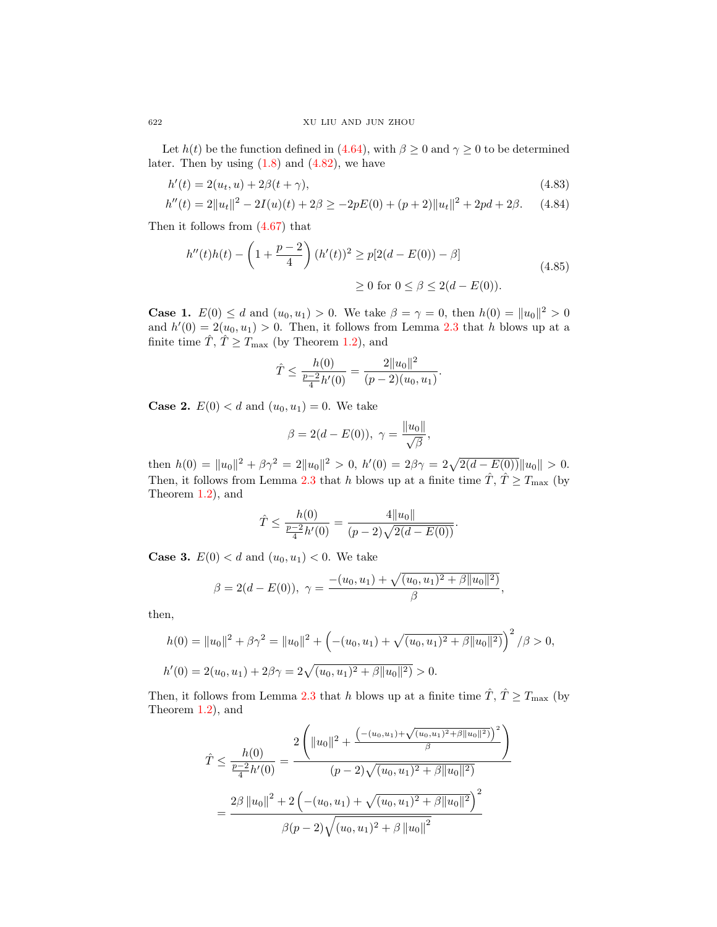Let  $h(t)$  be the function defined in [\(4.64\)](#page-18-5), with  $\beta \geq 0$  and  $\gamma \geq 0$  to be determined later. Then by using  $(1.8)$  and  $(4.82)$ , we have

$$
h'(t) = 2(u_t, u) + 2\beta(t + \gamma),
$$
\n(4.83)

$$
h''(t) = 2||u_t||^2 - 2I(u)(t) + 2\beta \ge -2pE(0) + (p+2)||u_t||^2 + 2pd + 2\beta. \tag{4.84}
$$

Then it follows from [\(4.67\)](#page-18-4) that

$$
h''(t)h(t) - \left(1 + \frac{p-2}{4}\right)(h'(t))^2 \ge p[2(d - E(0)) - \beta]
$$
  
 
$$
\ge 0 \text{ for } 0 \le \beta \le 2(d - E(0)).
$$
 (4.85)

**Case 1.**  $E(0) \le d$  and  $(u_0, u_1) > 0$ . We take  $\beta = \gamma = 0$ , then  $h(0) = ||u_0||^2 > 0$ and  $h'(0) = 2(u_0, u_1) > 0$ . Then, it follows from Lemma [2.3](#page-5-3) that h blows up at a finite time  $\hat{T}$ ,  $\hat{T} \geq T_{\text{max}}$  (by Theorem [1.2\)](#page-2-0), and

$$
\hat{T} \le \frac{h(0)}{\frac{p-2}{4}h'(0)} = \frac{2||u_0||^2}{(p-2)(u_0, u_1)}.
$$

**Case 2.**  $E(0) < d$  and  $(u_0, u_1) = 0$ . We take

$$
\beta = 2(d - E(0)), \ \gamma = \frac{||u_0||}{\sqrt{\beta}},
$$

then  $h(0) = ||u_0||^2 + \beta \gamma^2 = 2||u_0||^2 > 0$ ,  $h'(0) = 2\beta \gamma = 2\sqrt{2(d - E(0))}||u_0|| > 0$ . Then, it follows from Lemma [2.3](#page-5-3) that h blows up at a finite time  $\hat{T}$ ,  $\hat{T} \geq T_{\text{max}}$  (by Theorem [1.2\)](#page-2-0), and

$$
\hat{T} \le \frac{h(0)}{\frac{p-2}{4}h'(0)} = \frac{4||u_0||}{(p-2)\sqrt{2(d-E(0))}}.
$$

**Case 3.**  $E(0) < d$  and  $(u_0, u_1) < 0$ . We take

$$
\beta = 2(d - E(0)), \ \gamma = \frac{-(u_0, u_1) + \sqrt{(u_0, u_1)^2 + \beta ||u_0||^2)}}{\beta},
$$

then,

$$
h(0) = ||u_0||^2 + \beta \gamma^2 = ||u_0||^2 + \left( -(u_0, u_1) + \sqrt{(u_0, u_1)^2 + \beta ||u_0||^2} \right)^2 / \beta > 0,
$$
  

$$
h'(0) = 2(u_0, u_1) + 2\beta \gamma = 2\sqrt{(u_0, u_1)^2 + \beta ||u_0||^2} > 0.
$$

Then, it follows from Lemma [2.3](#page-5-3) that h blows up at a finite time  $\hat{T}$ ,  $\hat{T} \geq T_{\text{max}}$  (by Theorem [1.2\)](#page-2-0), and

$$
\hat{T} \leq \frac{h(0)}{\frac{p-2}{4}h'(0)} = \frac{2\left(\|u_0\|^2 + \frac{\left(-(u_0, u_1) + \sqrt{(u_0, u_1)^2 + \beta \|u_0\|^2\right)}\right)^2}{(p-2)\sqrt{(u_0, u_1)^2 + \beta \|u_0\|^2)}}
$$
\n
$$
= \frac{2\beta \left\|u_0\right\|^2 + 2\left(-(u_0, u_1) + \sqrt{(u_0, u_1)^2 + \beta \|u_0\|^2}\right)^2}{\beta(p-2)\sqrt{(u_0, u_1)^2 + \beta \|u_0\|^2}}
$$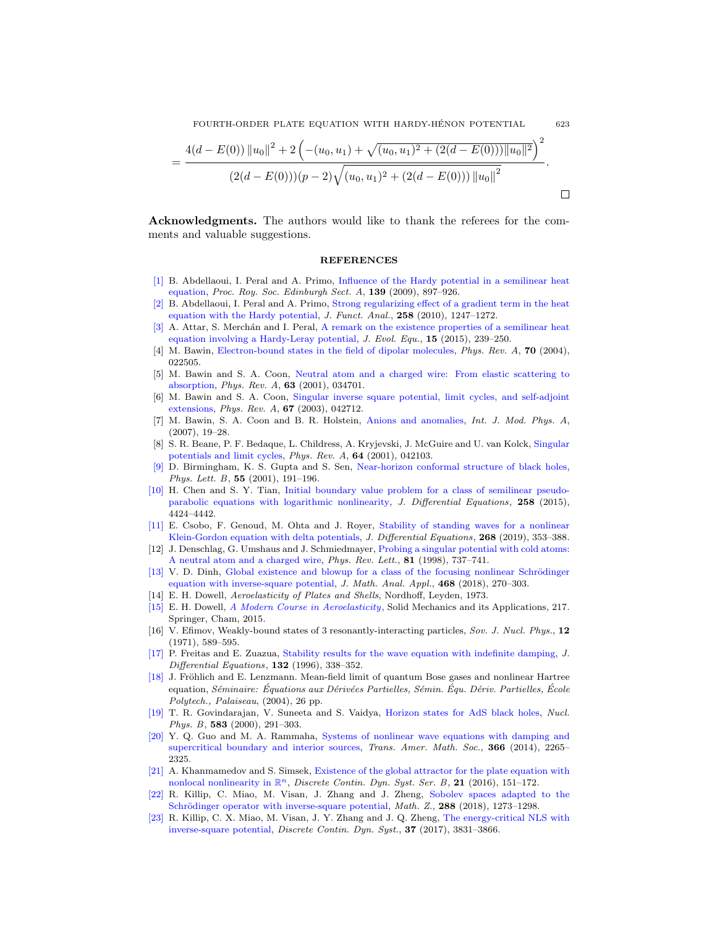FOURTH-ORDER PLATE EQUATION WITH HARDY-HENON POTENTIAL 623 ´

$$
= \frac{4(d-E(0))\|u_0\|^2 + 2\left(-(u_0,u_1) + \sqrt{(u_0,u_1)^2 + (2(d-E(0)))\|u_0\|^2}\right)^2}{(2(d-E(0)))(p-2)\sqrt{(u_0,u_1)^2 + (2(d-E(0)))\|u_0\|^2}}.
$$

Acknowledgments. The authors would like to thank the referees for the comments and valuable suggestions.

## REFERENCES

- <span id="page-24-13"></span>[\[1\]](http://www.ams.org/mathscinet-getitem?mr=MR2545987&return=pdf) B. Abdellaoui, I. Peral and A. Primo, [Influence of the Hardy potential in a semilinear heat](http://dx.doi.org/10.1017/S0308210508000152) [equation,](http://dx.doi.org/10.1017/S0308210508000152) Proc. Roy. Soc. Edinburgh Sect. A, 139 (2009), 897–926.
- <span id="page-24-14"></span>[\[2\]](http://www.ams.org/mathscinet-getitem?mr=MR2565839&return=pdf) B. Abdellaoui, I. Peral and A. Primo, [Strong regularizing effect of a gradient term in the heat](http://dx.doi.org/10.1016/j.jfa.2009.11.008) [equation with the Hardy potential,](http://dx.doi.org/10.1016/j.jfa.2009.11.008) J. Funct. Anal., 258 (2010), 1247–1272.
- <span id="page-24-15"></span>[\[3\]](http://www.ams.org/mathscinet-getitem?mr=MR3315673&return=pdf) A. Attar, S. Merchan and I. Peral, [A remark on the existence properties of a semilinear heat](http://dx.doi.org/10.1007/s00028-014-0259-x) [equation involving a Hardy-Leray potential,](http://dx.doi.org/10.1007/s00028-014-0259-x) J. Evol. Equ., 15 (2015), 239–250.
- <span id="page-24-5"></span>[4] M. Bawin, [Electron-bound states in the field of dipolar molecules,](http://dx.doi.org/10.1103/PhysRevA.70.022505) Phys. Rev. A, 70 (2004), 022505.
- <span id="page-24-9"></span>[5] M. Bawin and S. A. Coon, [Neutral atom and a charged wire: From elastic scattering to](http://dx.doi.org/10.1103/PhysRevA.63.034701) [absorption,](http://dx.doi.org/10.1103/PhysRevA.63.034701) Phys. Rev. A, 63 (2001), 034701.
- <span id="page-24-11"></span>[6] M. Bawin and S. A. Coon, [Singular inverse square potential, limit cycles, and self-adjoint](http://dx.doi.org/10.1103/PhysRevA.67.042712) [extensions,](http://dx.doi.org/10.1103/PhysRevA.67.042712) Phys. Rev. A, 67 (2003), 042712.
- <span id="page-24-6"></span>[7] M. Bawin, S. A. Coon and B. R. Holstein, [Anions and anomalies,](http://dx.doi.org/10.1142/9789812770301_0003) Int. J. Mod. Phys. A, (2007), 19–28.
- <span id="page-24-12"></span>[8] S. R. Beane, P. F. Bedaque, L. Childress, A. Kryjevski, J. McGuire and U. van Kolck, [Singular](http://dx.doi.org/10.1103/PhysRevA.64.042103) [potentials and limit cycles,](http://dx.doi.org/10.1103/PhysRevA.64.042103) Phys. Rev. A, 64 (2001), 042103.
- <span id="page-24-7"></span>[\[9\]](http://www.ams.org/mathscinet-getitem?mr=MR1831772&return=pdf) D. Birmingham, K. S. Gupta and S. Sen, [Near-horizon conformal structure of black holes,](http://dx.doi.org/10.1016/S0370-2693(01)00354-9) Phys. Lett.  $B$ , 55 (2001), 191-196.
- <span id="page-24-19"></span>[\[10\]](http://www.ams.org/mathscinet-getitem?mr=MR3327559&return=pdf) H. Chen and S. Y. Tian, [Initial boundary value problem for a class of semilinear pseudo](http://dx.doi.org/10.1016/j.jde.2015.01.038)[parabolic equations with logarithmic nonlinearity,](http://dx.doi.org/10.1016/j.jde.2015.01.038) J. Differential Equations, 258 (2015), 4424–4442.
- <span id="page-24-16"></span>[\[11\]](http://www.ams.org/mathscinet-getitem?mr=MR4017426&return=pdf) E. Csobo, F. Genoud, M. Ohta and J. Royer, [Stability of standing waves for a nonlinear](http://dx.doi.org/10.1016/j.jde.2019.08.015) [Klein-Gordon equation with delta potentials,](http://dx.doi.org/10.1016/j.jde.2019.08.015) J. Differential Equations, 268 (2019), 353–388.
- <span id="page-24-10"></span>[12] J. Denschlag, G. Umshaus and J. Schmiedmayer, [Probing a singular potential with cold atoms:](http://dx.doi.org/10.1103/PhysRevLett.81.737) [A neutral atom and a charged wire,](http://dx.doi.org/10.1103/PhysRevLett.81.737) Phys. Rev. Lett., 81 (1998), 737-741.
- [\[13\]](http://www.ams.org/mathscinet-getitem?mr=MR3848986&return=pdf) V. D. Dinh, Global existence and blowup for a class of the focusing nonlinear Schrödinger [equation with inverse-square potential,](http://dx.doi.org/10.1016/j.jmaa.2018.08.006) J. Math. Anal. Appl., 468 (2018), 270–303.
- <span id="page-24-0"></span>[14] E. H. Dowell, Aeroelasticity of Plates and Shells, Nordhoff, Leyden, 1973.
- <span id="page-24-1"></span>[\[15\]](http://www.ams.org/mathscinet-getitem?mr=MR3306893&return=pdf) E. H. Dowell, [A Modern Course in Aeroelasticity](http://dx.doi.org/10.1007/978-3-319-09453-3), Solid Mechanics and its Applications, 217. Springer, Cham, 2015.
- <span id="page-24-4"></span>[16] V. Efimov, Weakly-bound states of 3 resonantly-interacting particles, Sov. J. Nucl. Phys., 12 (1971), 589–595.
- <span id="page-24-2"></span>[\[17\]](http://www.ams.org/mathscinet-getitem?mr=MR1422123&return=pdf) P. Freitas and E. Zuazua, [Stability results for the wave equation with indefinite damping,](http://dx.doi.org/10.1006/jdeq.1996.0183) J. *Differential Equations*, **132** (1996), 338-352.
- [\[18\]](http://www.ams.org/mathscinet-getitem?mr=MR2117050&return=pdf) J. Fröhlich and E. Lenzmann. Mean-field limit of quantum Bose gases and nonlinear Hartree equation, Séminaire: Équations aux Dérivées Partielles, Sémin. Équ. Dériv. Partielles, École Polytech., Palaiseau, (2004), 26 pp.
- <span id="page-24-8"></span>[\[19\]](http://www.ams.org/mathscinet-getitem?mr=MR1776850&return=pdf) T. R. Govindarajan, V. Suneeta and S. Vaidya, [Horizon states for AdS black holes,](http://dx.doi.org/10.1016/S0550-3213(00)00336-9) Nucl. Phys. B, 583 (2000), 291–303.
- <span id="page-24-20"></span>[\[20\]](http://www.ams.org/mathscinet-getitem?mr=MR3165639&return=pdf) Y. Q. Guo and M. A. Rammaha, [Systems of nonlinear wave equations with damping and](http://dx.doi.org/10.1090/S0002-9947-2014-05772-3) [supercritical boundary and interior sources,](http://dx.doi.org/10.1090/S0002-9947-2014-05772-3) *Trans. Amer. Math. Soc.*, 366 (2014), 2265– 2325.
- <span id="page-24-3"></span>[\[21\]](http://www.ams.org/mathscinet-getitem?mr=MR3426837&return=pdf) A. Khanmamedov and S. Simsek, [Existence of the global attractor for the plate equation with](http://dx.doi.org/10.3934/dcdsb.2016.21.151) [nonlocal nonlinearity in](http://dx.doi.org/10.3934/dcdsb.2016.21.151)  $\mathbb{R}^n$ , *Discrete Contin. Dyn. Syst. Ser. B*, **21** (2016), 151–172.
- <span id="page-24-17"></span>[\[22\]](http://www.ams.org/mathscinet-getitem?mr=MR3778997&return=pdf) R. Killip, C. Miao, M. Visan, J. Zhang and J. Zheng, [Sobolev spaces adapted to the](http://dx.doi.org/10.1007/s00209-017-1934-8) Schrödinger operator with inverse-square potential, Math. Z., 288 (2018), 1273-1298.
- <span id="page-24-18"></span>[\[23\]](http://www.ams.org/mathscinet-getitem?mr=MR3639442&return=pdf) R. Killip, C. X. Miao, M. Visan, J. Y. Zhang and J. Q. Zheng, [The energy-critical NLS with](http://dx.doi.org/10.3934/dcds.2017162) [inverse-square potential,](http://dx.doi.org/10.3934/dcds.2017162) Discrete Contin. Dyn. Syst., 37 (2017), 3831–3866.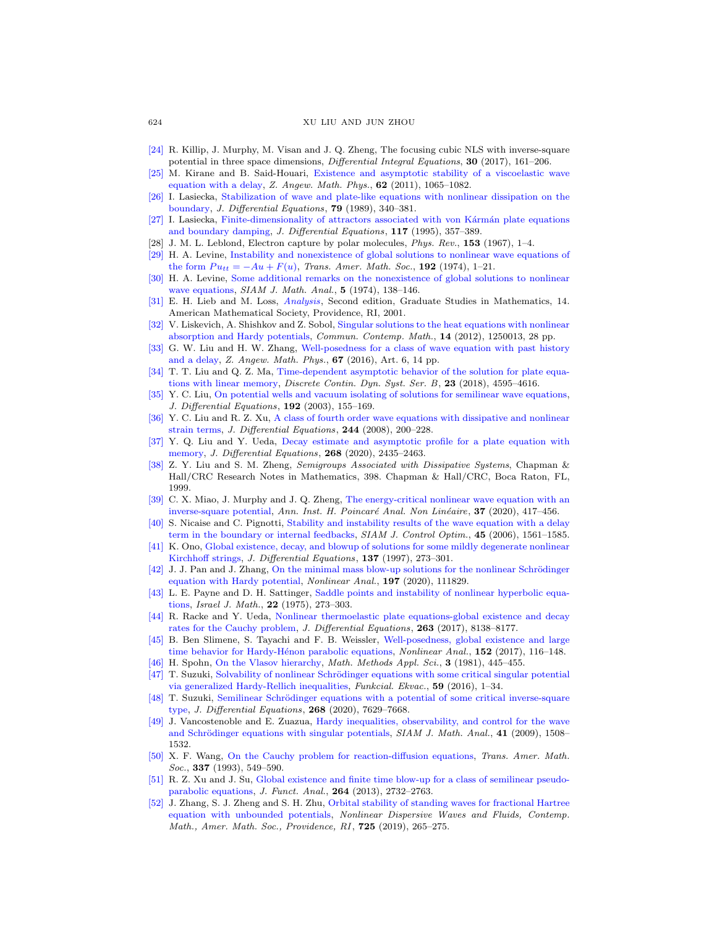## 624 XU LIU AND JUN ZHOU

- <span id="page-25-15"></span>[\[24\]](http://www.ams.org/mathscinet-getitem?mr=MR3611498&return=pdf) R. Killip, J. Murphy, M. Visan and J. Q. Zheng, The focusing cubic NLS with inverse-square potential in three space dimensions, Differential Integral Equations, 30 (2017), 161–206.
- <span id="page-25-0"></span>[\[25\]](http://www.ams.org/mathscinet-getitem?mr=MR2860945&return=pdf) M. Kirane and B. Said-Houari, [Existence and asymptotic stability of a viscoelastic wave](http://dx.doi.org/10.1007/s00033-011-0145-0) [equation with a delay,](http://dx.doi.org/10.1007/s00033-011-0145-0) Z. Angew. Math. Phys.,  $62$  (2011), 1065-1082.
- <span id="page-25-1"></span>[\[26\]](http://www.ams.org/mathscinet-getitem?mr=MR1000694&return=pdf) I. Lasiecka, [Stabilization of wave and plate-like equations with nonlinear dissipation on the](http://dx.doi.org/10.1016/0022-0396(89)90107-1) [boundary,](http://dx.doi.org/10.1016/0022-0396(89)90107-1) J. Differential Equations, 79 (1989), 340–381.
- <span id="page-25-2"></span>[\[27\]](http://www.ams.org/mathscinet-getitem?mr=MR1325802&return=pdf) I. Lasiecka, Finite-dimensionality of attractors associated with von Kármán plate equations [and boundary damping,](http://dx.doi.org/10.1006/jdeq.1995.1057) J. Differential Equations, 117 (1995), 357–389.
- <span id="page-25-8"></span>[28] J. M. L. Leblond, Electron capture by polar molecules, Phys. Rev., 153 (1967), 1–4.
- <span id="page-25-25"></span>[\[29\]](http://www.ams.org/mathscinet-getitem?mr=MR344697&return=pdf) H. A. Levine, [Instability and nonexistence of global solutions to nonlinear wave equations of](http://dx.doi.org/10.2307/1996814) [the form](http://dx.doi.org/10.2307/1996814)  $Pu_{tt} = -Au + F(u)$ , Trans. Amer. Math. Soc., 192 (1974), 1–21.
- <span id="page-25-26"></span>[\[30\]](http://www.ams.org/mathscinet-getitem?mr=MR399682&return=pdf) H. A. Levine, [Some additional remarks on the nonexistence of global solutions to nonlinear](http://dx.doi.org/10.1137/0505015) [wave equations,](http://dx.doi.org/10.1137/0505015) SIAM J. Math. Anal., 5 (1974), 138-146.
- <span id="page-25-24"></span>[\[31\]](http://www.ams.org/mathscinet-getitem?mr=MR1817225&return=pdf) E. H. Lieb and M. Loss, [Analysis](http://dx.doi.org/10.1090/gsm/014), Second edition, Graduate Studies in Mathematics, 14. American Mathematical Society, Providence, RI, 2001.
- <span id="page-25-10"></span>[\[32\]](http://www.ams.org/mathscinet-getitem?mr=MR2901056&return=pdf) V. Liskevich, A. Shishkov and Z. Sobol, [Singular solutions to the heat equations with nonlinear](http://dx.doi.org/10.1142/S0219199712500137) [absorption and Hardy potentials,](http://dx.doi.org/10.1142/S0219199712500137) Commun. Contemp. Math., 14 (2012), 1250013, 28 pp.
- <span id="page-25-3"></span>[\[33\]](http://www.ams.org/mathscinet-getitem?mr=MR3481149&return=pdf) G. W. Liu and H. W. Zhang, [Well-posedness for a class of wave equation with past history](http://dx.doi.org/10.1007/s00033-015-0593-z) [and a delay,](http://dx.doi.org/10.1007/s00033-015-0593-z) Z. Angew. Math. Phys., 67 (2016), Art. 6, 14 pp.
- <span id="page-25-4"></span>[\[34\]](http://www.ams.org/mathscinet-getitem?mr=MR3927835&return=pdf) T. T. Liu and Q. Z. Ma, [Time-dependent asymptotic behavior of the solution for plate equa](http://dx.doi.org/10.3934/dcdsb.2018178)[tions with linear memory,](http://dx.doi.org/10.3934/dcdsb.2018178) *Discrete Contin. Dyn. Syst. Ser. B*, 23 (2018), 4595–4616.
- <span id="page-25-19"></span>[\[35\]](http://www.ams.org/mathscinet-getitem?mr=MR1987088&return=pdf) Y. C. Liu, [On potential wells and vacuum isolating of solutions for semilinear wave equations,](http://dx.doi.org/10.1016/S0022-0396(02)00020-7) J. Differential Equations,  $192$  (2003), 155-169.
- <span id="page-25-20"></span>[\[36\]](http://www.ams.org/mathscinet-getitem?mr=MR2373660&return=pdf) Y. C. Liu and R. Z. Xu, [A class of fourth order wave equations with dissipative and nonlinear](http://dx.doi.org/10.1016/j.jde.2007.10.015) [strain terms,](http://dx.doi.org/10.1016/j.jde.2007.10.015) J. Differential Equations, 244 (2008), 200–228.
- <span id="page-25-5"></span>[\[37\]](http://www.ams.org/mathscinet-getitem?mr=MR4046196&return=pdf) Y. Q. Liu and Y. Ueda, [Decay estimate and asymptotic profile for a plate equation with](http://dx.doi.org/10.1016/j.jde.2019.09.007) [memory,](http://dx.doi.org/10.1016/j.jde.2019.09.007) *J. Differential Equations*, **268** (2020), 2435–2463.
- <span id="page-25-27"></span>[\[38\]](http://www.ams.org/mathscinet-getitem?mr=MR1681343&return=pdf) Z. Y. Liu and S. M. Zheng, Semigroups Associated with Dissipative Systems, Chapman & Hall/CRC Research Notes in Mathematics, 398. Chapman & Hall/CRC, Boca Raton, FL, 1999.
- <span id="page-25-14"></span>[\[39\]](http://www.ams.org/mathscinet-getitem?mr=MR4072805&return=pdf) C. X. Miao, J. Murphy and J. Q. Zheng, [The energy-critical nonlinear wave equation with an](http://dx.doi.org/10.1016/j.anihpc.2019.09.004) [inverse-square potential,](http://dx.doi.org/10.1016/j.anihpc.2019.09.004) Ann. Inst. H. Poincaré Anal. Non Linéaire,  $37$  (2020), 417–456.
- <span id="page-25-6"></span>[\[40\]](http://www.ams.org/mathscinet-getitem?mr=MR2272156&return=pdf) S. Nicaise and C. Pignotti, [Stability and instability results of the wave equation with a delay](http://dx.doi.org/10.1137/060648891) [term in the boundary or internal feedbacks,](http://dx.doi.org/10.1137/060648891) SIAM J. Control Optim., 45 (2006), 1561–1585.
- <span id="page-25-21"></span>[\[41\]](http://www.ams.org/mathscinet-getitem?mr=MR1456598&return=pdf) K. Ono, [Global existence, decay, and blowup of solutions for some mildly degenerate nonlinear](http://dx.doi.org/10.1006/jdeq.1997.3263) [Kirchhoff strings,](http://dx.doi.org/10.1006/jdeq.1997.3263) J. Differential Equations, 137 (1997), 273–301.
- <span id="page-25-16"></span>[\[42\]](http://www.ams.org/mathscinet-getitem?mr=MR4073514&return=pdf) J. J. Pan and J. Zhang, On the minimal mass blow-up solutions for the nonlinear Schrödinger [equation with Hardy potential,](http://dx.doi.org/10.1016/j.na.2020.111829) Nonlinear Anal., 197 (2020), 111829.
- <span id="page-25-22"></span>[\[43\]](http://www.ams.org/mathscinet-getitem?mr=MR402291&return=pdf) L. E. Payne and D. H. Sattinger, [Saddle points and instability of nonlinear hyperbolic equa](http://dx.doi.org/10.1007/BF02761595)[tions,](http://dx.doi.org/10.1007/BF02761595) Israel J. Math., 22 (1975), 273-303.
- <span id="page-25-7"></span>[\[44\]](http://www.ams.org/mathscinet-getitem?mr=MR3710681&return=pdf) R. Racke and Y. Ueda, [Nonlinear thermoelastic plate equations-global existence and decay](http://dx.doi.org/10.1016/j.jde.2017.08.036) [rates for the Cauchy problem,](http://dx.doi.org/10.1016/j.jde.2017.08.036) J. Differential Equations, 263 (2017), 8138–8177.
- <span id="page-25-9"></span>[\[45\]](http://www.ams.org/mathscinet-getitem?mr=MR3606306&return=pdf) B. Ben Slimene, S. Tayachi and F. B. Weissler, [Well-posedness, global existence and large](http://dx.doi.org/10.1016/j.na.2016.12.008) time behavior for Hardy-Hénon parabolic equations, Nonlinear Anal., 152 (2017), 116-148.
- [\[46\]](http://www.ams.org/mathscinet-getitem?mr=MR657065&return=pdf) H. Spohn, [On the Vlasov hierarchy,](http://dx.doi.org/10.1002/mma.1670030131) Math. Methods Appl. Sci., 3 (1981), 445–455.
- <span id="page-25-17"></span>[\[47\]](http://www.ams.org/mathscinet-getitem?mr=MR3524605&return=pdf) T. Suzuki, Solvability of nonlinear Schrödinger equations with some critical singular potential [via generalized Hardy-Rellich inequalities,](http://dx.doi.org/10.1619/fesi.59.1)  $Funkcial. Ekvac.,$  59 (2016), 1–34.
- <span id="page-25-18"></span>[\[48\]](http://www.ams.org/mathscinet-getitem?mr=MR4079019&return=pdf) T. Suzuki, Semilinear Schrödinger equations with a potential of some critical inverse-square [type,](http://dx.doi.org/10.1016/j.jde.2019.11.087) J. Differential Equations, 268 (2020), 7629–7668.
- <span id="page-25-12"></span>[\[49\]](http://www.ams.org/mathscinet-getitem?mr=MR2556573&return=pdf) J. Vancostenoble and E. Zuazua, [Hardy inequalities, observability, and control for the wave](http://dx.doi.org/10.1137/080731396) and Schrödinger equations with singular potentials, SIAM J. Math. Anal., 41 (2009), 1508– 1532.
- <span id="page-25-11"></span>[\[50\]](http://www.ams.org/mathscinet-getitem?mr=MR1153016&return=pdf) X. F. Wang, [On the Cauchy problem for reaction-diffusion equations,](http://dx.doi.org/10.1090/S0002-9947-1993-1153016-5) Trans. Amer. Math. Soc., **337** (1993), 549-590.
- <span id="page-25-23"></span>[\[51\]](http://www.ams.org/mathscinet-getitem?mr=MR3045640&return=pdf) R. Z. Xu and J. Su, [Global existence and finite time blow-up for a class of semilinear pseudo](http://dx.doi.org/10.1016/j.jfa.2013.03.010)[parabolic equations,](http://dx.doi.org/10.1016/j.jfa.2013.03.010) J. Funct. Anal., 264 (2013), 2732–2763.
- <span id="page-25-13"></span>[\[52\]](http://www.ams.org/mathscinet-getitem?mr=MR3937264&return=pdf) J. Zhang, S. J. Zheng and S. H. Zhu, [Orbital stability of standing waves for fractional Hartree](http://dx.doi.org/10.1090/conm/725/14561) [equation with unbounded potentials,](http://dx.doi.org/10.1090/conm/725/14561) Nonlinear Dispersive Waves and Fluids, Contemp. Math., Amer. Math. Soc., Providence, RI, 725 (2019), 265-275.